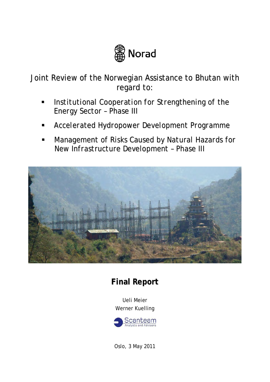

Joint Review of the Norwegian Assistance to Bhutan with regard to:

- *Institutional Cooperation for Strengthening of the Energy Sector – Phase III*
- *Accelerated Hydropower Development Programme*
- *Management of Risks Caused by Natural Hazards for New Infrastructure Development – Phase III*



# **Final Report**

Ueli Meier Werner Kuelling



Oslo, 3 May 2011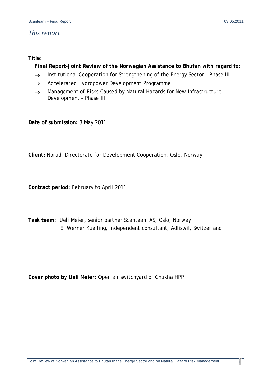# *This report*

## **Title:**

**Final Report-Joint Review of the Norwegian Assistance to Bhutan with regard to:** 

- $\rightarrow$  Institutional Cooperation for Strengthening of the Energy Sector Phase III
- $\rightarrow$  Accelerated Hydropower Development Programme
- $\rightarrow$  Management of Risks Caused by Natural Hazards for New Infrastructure Development – Phase III

**Date of submission:** 3 May 2011

**Client:** Norad, Directorate for Development Cooperation, Oslo, Norway

**Contract period:** February to April 2011

**Task team:** Ueli Meier, senior partner Scanteam AS, Oslo, Norway E. Werner Kuelling, independent consultant, Adliswil, Switzerland

**Cover photo by Ueli Meier:** Open air switchyard of Chukha HPP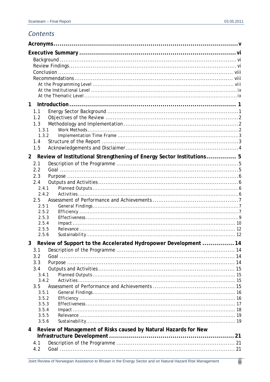# Contents

| 1              |                                                                       |    |  |  |  |
|----------------|-----------------------------------------------------------------------|----|--|--|--|
|                | 1.1                                                                   |    |  |  |  |
|                | 1.2                                                                   |    |  |  |  |
|                | 1.3                                                                   |    |  |  |  |
|                | 1.3.1                                                                 |    |  |  |  |
|                | 1.3.2                                                                 |    |  |  |  |
|                | 1.4                                                                   |    |  |  |  |
|                | 1.5                                                                   |    |  |  |  |
| 2 <sup>7</sup> | Review of Institutional Strengthening of Energy Sector Institutions 5 |    |  |  |  |
|                | 2.1                                                                   |    |  |  |  |
|                | 2.2                                                                   |    |  |  |  |
|                | 2.3                                                                   |    |  |  |  |
|                | 2.4                                                                   |    |  |  |  |
|                | 2.4.1                                                                 |    |  |  |  |
|                | 2.4.2                                                                 |    |  |  |  |
|                | 2.5<br>2.51                                                           |    |  |  |  |
|                | 2.5.2                                                                 |    |  |  |  |
|                | 2.5.3                                                                 |    |  |  |  |
|                | 2.5.4                                                                 |    |  |  |  |
|                | 2.5.5                                                                 |    |  |  |  |
|                | 2.5.6                                                                 |    |  |  |  |
|                | Review of Support to the Accelerated Hydropower Development           | 14 |  |  |  |
|                | 3.1                                                                   |    |  |  |  |
|                | 3.2                                                                   |    |  |  |  |
|                | 3.3                                                                   |    |  |  |  |
|                | 3.4                                                                   |    |  |  |  |
|                | 3.4.1                                                                 |    |  |  |  |
|                | 3.4.2                                                                 |    |  |  |  |
|                | 3.5                                                                   |    |  |  |  |
|                | 3.5.1<br>3.5.2                                                        |    |  |  |  |
|                | 3.5.3                                                                 |    |  |  |  |
|                | 3.5.4                                                                 |    |  |  |  |
|                | 3.5.5                                                                 |    |  |  |  |
|                | 3.5.6                                                                 |    |  |  |  |
| 4              | Review of Management of Risks caused by Natural Hazards for New       |    |  |  |  |
|                |                                                                       |    |  |  |  |
|                | 4.1                                                                   |    |  |  |  |
|                | 4.2                                                                   |    |  |  |  |
|                |                                                                       |    |  |  |  |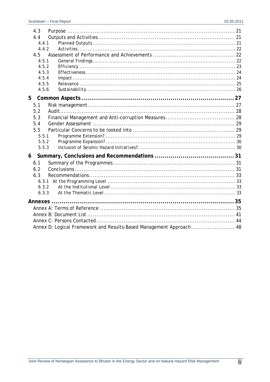|   | 4.3   |                                                                     |  |
|---|-------|---------------------------------------------------------------------|--|
|   | 4.4   |                                                                     |  |
|   | 4.4.1 |                                                                     |  |
|   | 4.4.2 |                                                                     |  |
|   | 4.5   |                                                                     |  |
|   | 4.5.1 |                                                                     |  |
|   | 4.5.2 |                                                                     |  |
|   | 4.5.3 |                                                                     |  |
|   | 4.5.4 |                                                                     |  |
|   | 4.5.5 |                                                                     |  |
|   | 4.5.6 |                                                                     |  |
| 5 |       |                                                                     |  |
|   | 5.1   |                                                                     |  |
|   | 5.2   |                                                                     |  |
|   | 5.3   |                                                                     |  |
|   | 5.4   |                                                                     |  |
|   | 5.5   |                                                                     |  |
|   | 5.5.1 |                                                                     |  |
|   | 5.5.2 |                                                                     |  |
|   | 5.5.3 |                                                                     |  |
| 6 |       |                                                                     |  |
|   | 6.1   |                                                                     |  |
|   | 6.2   |                                                                     |  |
|   | 6.3   |                                                                     |  |
|   |       |                                                                     |  |
|   | 6.3.2 |                                                                     |  |
|   | 6.3.3 |                                                                     |  |
|   |       |                                                                     |  |
|   |       |                                                                     |  |
|   |       |                                                                     |  |
|   |       |                                                                     |  |
|   |       |                                                                     |  |
|   |       | Annex D: Logical Framework and Results-Based Management Approach 48 |  |
|   |       |                                                                     |  |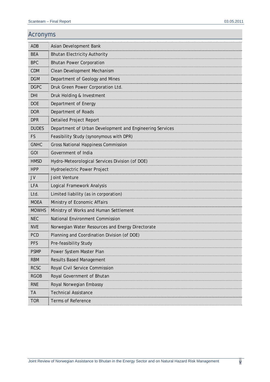# Acronyms

| <b>ADB</b>   | Asian Development Bank                                   |  |  |
|--------------|----------------------------------------------------------|--|--|
| <b>BEA</b>   | <b>Bhutan Electricity Authority</b>                      |  |  |
| <b>BPC</b>   | <b>Bhutan Power Corporation</b>                          |  |  |
| <b>CDM</b>   | Clean Development Mechanism                              |  |  |
| <b>DGM</b>   | Department of Geology and Mines                          |  |  |
| <b>DGPC</b>  | Druk Green Power Corporation Ltd.                        |  |  |
| DHI          | Druk Holding & Investment                                |  |  |
| <b>DOE</b>   | Department of Energy                                     |  |  |
| <b>DOR</b>   | Department of Roads                                      |  |  |
| <b>DPR</b>   | <b>Detailed Project Report</b>                           |  |  |
| <b>DUDES</b> | Department of Urban Development and Engineering Services |  |  |
| <b>FS</b>    | Feasibility Study (synonymous with DPR)                  |  |  |
| <b>GNHC</b>  | <b>Gross National Happiness Commission</b>               |  |  |
| GOI          | Government of India                                      |  |  |
| <b>HMSD</b>  | Hydro-Meteorological Services Division (of DOE)          |  |  |
| <b>HPP</b>   | <b>Hydroelectric Power Project</b>                       |  |  |
| JV           | Joint Venture                                            |  |  |
| <b>LFA</b>   | Logical Framework Analysis                               |  |  |
| Ltd.         | Limited liability (as in corporation)                    |  |  |
| <b>MOEA</b>  | Ministry of Economic Affairs                             |  |  |
| <b>MOWHS</b> | Ministry of Works and Human Settlement                   |  |  |
| <b>NEC</b>   | National Environment Commission                          |  |  |
| <b>NVE</b>   | Norwegian Water Resources and Energy Directorate         |  |  |
| <b>PCD</b>   | Planning and Coordination Division (of DOE)              |  |  |
| <b>PFS</b>   | Pre-feasibility Study                                    |  |  |
| <b>PSMP</b>  | Power System Master Plan                                 |  |  |
| <b>RBM</b>   | <b>Results Based Management</b>                          |  |  |
| <b>RCSC</b>  | Royal Civil Service Commission                           |  |  |
| <b>RGOB</b>  | Royal Government of Bhutan                               |  |  |
| <b>RNE</b>   | Royal Norwegian Embassy                                  |  |  |
| <b>TA</b>    | <b>Technical Assistance</b>                              |  |  |
| <b>TOR</b>   | <b>Terms of Reference</b>                                |  |  |
|              |                                                          |  |  |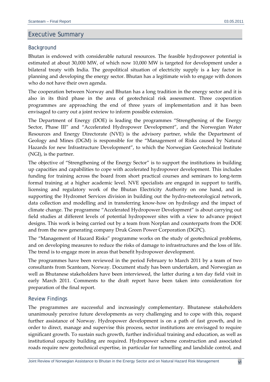## Executive Summary

#### Background

Bhutan is endowed with considerable natural resources. The feasible hydropower potential is estimated at about 30,000 MW, of which now 10,000 MW is targeted for development under a bilateral treaty with India. The geopolitical situation of electricity supply is a key factor in planning and developing the energy sector. Bhutan has a legitimate wish to engage with donors who do not have their own agenda.

The cooperation between Norway and Bhutan has a long tradition in the energy sector and it is also in its third phase in the area of geotechnical risk assessment. Three cooperation programmes are approaching the end of three years of implementation and it has been envisaged to carry out a joint review to inform possible extension.

The Department of Energy (DOE) is leading the programmes "Strengthening of the Energy Sector, Phase III" and "Accelerated Hydropower Development", and the Norwegian Water Resources and Energy Directorate (NVE) is the advisory partner, while the Department of Geology and Mines (DGM) is responsible for the "Management of Risks caused by Natural Hazards for new Infrastructure Development", to which the Norwegian Geotechnical Institute (NGI), is the partner.

The objective of "Strengthening of the Energy Sector" is to support the institutions in building up capacities and capabilities to cope with accelerated hydropower development. This includes funding for training across the board from short practical courses and seminars to long-term formal training at a higher academic level. NVE specialists are engaged in support to tariffs, licensing and regulatory work of the Bhutan Electricity Authority on one hand, and in supporting the Hydromet Services division in building out the hydro-meteorological network, data collection and modelling and in transferring know‐how on hydrology and the impact of climate change. The programme "Accelerated Hydropower Development" is about carrying out field studies at different levels of potential hydropower sites with a view to advance project designs. This work is being carried out by a team from Norplan and counterparts from the DOE and from the new generating company Druk Green Power Corporation (DGPC).

The "Management of Hazard Risks" programme works on the study of geotechnical problems, and on developing measures to reduce the risks of damage to infrastructures and the loss of life. The trend is to engage more in areas that benefit hydropower development.

The programmes have been reviewed in the period February to March 2011 by a team of two consultants from Scanteam, Norway. Document study has been undertaken, and Norwegian as well as Bhutanese stakeholders have been interviewed, the latter during a ten day field visit in early March 2011. Comments to the draft report have been taken into consideration for preparation of the final report.

#### Review Findings

The programmes are successful and increasingly complementary. Bhutanese stakeholders unanimously perceive future developments as very challenging and to cope with this, request further assistance of Norway. Hydropower development is on a path of fast growth, and in order to direct, manage and supervise this process, sector institutions are envisaged to require significant growth. To sustain such growth, further individual training and education, as well as institutional capacity building are required. Hydropower scheme construction and associated roads require new geotechnical expertise, in particular for tunnelling and landslide control, and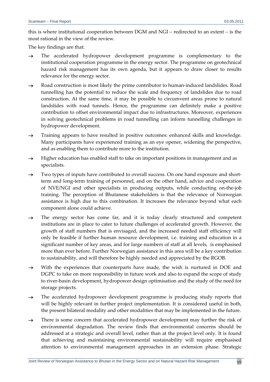this is where institutional cooperation between DGM and NGI – redirected to an extent – is the most rational in the view of the review.

The key findings are that:

- $\rightarrow$  The accelerated hydropower development programme is complementary to the institutional cooperation programme in the energy sector. The programme on geotechnical hazard risk management has its own agenda, but it appears to draw closer to results relevance for the energy sector.
- $\rightarrow$  Road construction is most likely the prime contributor to human-induced landslides. Road tunnelling has the potential to reduce the scale and frequency of landslides due to road construction. At the same time, it may be possible to circumvent areas prone to natural landslides with road tunnels. Hence, the programme can definitely make a positive contribution to offset environmental impact due to infrastructures. Moreover, experiences in solving geotechnical problems in road tunnelling can inform tunnelling challenges in hydropower development.
- $\rightarrow$  Training appears to have resulted in positive outcomes: enhanced skills and knowledge. Many participants have experienced training as an eye opener, widening the perspective, and as enabling them to contribute more to the institution.
- $\rightarrow$  Higher education has enabled staff to take on important positions in management and as specialists.
- $\rightarrow$  Two types of inputs have contributed to overall success. On one hand exposure and shortterm and long‐term training of personnel, and on the other hand, advice and cooperation of NVE/NGI and other specialists in producing outputs, while conducting on‐the‐job training. The perception of Bhutanese stakeholders is that the relevance of Norwegian assistance is high due to this combination. It increases the relevance beyond what each component alone could achieve.
- $\rightarrow$  The energy sector has come far, and it is today clearly structured and competent institutions are in place to cater to future challenges of accelerated growth. However, the growth of staff numbers that is envisaged, and the increased needed staff efficiency will only be feasible if further human resource development, i.e. training and education in a significant number of key areas, and for large numbers of staff at all levels, is emphasised more than ever before. Further Norwegian assistance in this area will be a key contribution to sustainability, and will therefore be highly needed and appreciated by the RGOB.
- $\rightarrow$  With the experiences that counterparts have made, the wish is nurtured in DOE and DGPC to take on more responsibility in future work and also to expand the scope of study to river‐basin development, hydropower design optimisation and the study of the need for storage projects.
- $\rightarrow$  The accelerated hydropower development programme is producing study reports that will be highly relevant in further project implementation. It is considered useful in both, the present bilateral modality and other modalities that may be implemented in the future.
- $\rightarrow$  There is some concern that accelerated hydropower development may further the risk of environmental degradation. The review finds that environmental concerns should be addressed at a strategic and overall level, rather than at the project level only. It is found that achieving and maintaining environmental sustainability will require emphasised attention to environmental management approaches in an extension phase. Strategic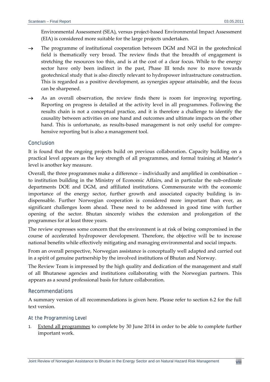Environmental Assessment (SEA), versus project‐based Environmental Impact Assessment (EIA) is considered more suitable for the large projects undertaken.

- $\rightarrow$  The programme of institutional cooperation between DGM and NGI in the geotechnical field is thematically very broad. The review finds that the breadth of engagement is stretching the resources too thin, and is at the cost of a clear focus. While to the energy sector have only been indirect in the past, Phase III tends now to move towards geotechnical study that is also directly relevant to hydropower infrastructure construction. This is regarded as a positive development, as synergies appear attainable, and the focus can be sharpened.
- $\rightarrow$  As an overall observation, the review finds there is room for improving reporting. Reporting on progress is detailed at the activity level in all programmes. Following the results chain is not a conceptual practice, and it is therefore a challenge to identify the causality between activities on one hand and outcomes and ultimate impacts on the other hand. This is unfortunate, as results-based management is not only useful for comprehensive reporting but is also a management tool.

#### Conclusion

It is found that the ongoing projects build on previous collaboration. Capacity building on a practical level appears as the key strength of all programmes, and formal training at Master's level is another key measure.

Overall, the three programmes make a difference – individually and amplified in combination – to institution building in the Ministry of Economic Affairs, and in particular the sub‐ordinate departments DOE and DGM, and affiliated institutions. Commensurate with the economic importance of the energy sector, further growth and associated capacity building is in‐ dispensable. Further Norwegian cooperation is considered more important than ever, as significant challenges loom ahead. These need to be addressed in good time with further opening of the sector. Bhutan sincerely wishes the extension and prolongation of the programmes for at least three years.

The review expresses some concern that the environment is at risk of being compromised in the course of accelerated hydropower development. Therefore, the objective will be to increase national benefits while effectively mitigating and managing environmental and social impacts.

From an overall perspective, Norwegian assistance is conceptually well adapted and carried out in a spirit of genuine partnership by the involved institutions of Bhutan and Norway.

The Review Team is impressed by the high quality and dedication of the management and staff of all Bhutanese agencies and institutions collaborating with the Norwegian partners. This appears as a sound professional basis for future collaboration.

#### Recommendations

A summary version of all recommendations is given here. Please refer to section 6.2 for the full text version.

#### *At the Programming Level*

1. Extend all programmes to complete by 30 June 2014 in order to be able to complete further important work.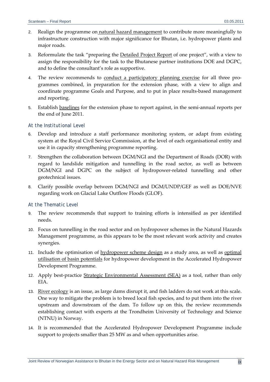- 2. Realign the programme on natural hazard management to contribute more meaningfully to infrastructure construction with major significance for Bhutan, i.e. hydropower plants and major roads.
- 3. Reformulate the task "preparing the Detailed Project Report of one project", with a view to assign the responsibility for the task to the Bhutanese partner institutions DOE and DGPC, and to define the consultant's role as supportive.
- 4. The review recommends to conduct a participatory planning exercise for all three programmes combined, in preparation for the extension phase, with a view to align and coordinate programme Goals and Purpose, and to put in place results‐based management and reporting.
- 5. Establish baselines for the extension phase to report against, in the semi-annual reports per the end of June 2011.

## *At the Institutional Level*

- 6. Develop and introduce a staff performance monitoring system, or adapt from existing system at the Royal Civil Service Commission, at the level of each organisational entity and use it in capacity strengthening programme reporting.
- 7. Strengthen the collaboration between DGM/NGI and the Department of Roads (DOR) with regard to landslide mitigation and tunnelling in the road sector, as well as between DGM/NGI and DGPC on the subject of hydropower-related tunnelling and other geotechnical issues.
- 8. Clarify possible overlap between DGM/NGI and DGM/UNDP/GEF as well as DOE/NVE regarding work on Glacial Lake Outflow Floods (GLOF).

#### *At the Thematic Level*

- 9. The review recommends that support to training efforts is intensified as per identified needs.
- 10. Focus on tunnelling in the road sector and on hydropower schemes in the Natural Hazards Management programme, as this appears to be the most relevant work activity and creates synergies.
- 11. Include the optimisation of hydropower scheme design as a study area, as well as optimal utilisation of basin potentials for hydropower development in the Accelerated Hydropower Development Programme.
- 12. Apply best-practice Strategic Environmental Assessment (SEA) as a tool, rather than only EIA.
- 13. River ecology is an issue, as large dams disrupt it, and fish ladders do not work at this scale. One way to mitigate the problem is to breed local fish species, and to put them into the river upstream and downstream of the dam. To follow up on this, the review recommends establishing contact with experts at the Trondheim University of Technology and Science (NTNU) in Norway.
- 14. It is recommended that the Accelerated Hydropower Development Programme include support to projects smaller than 25 MW as and when opportunities arise.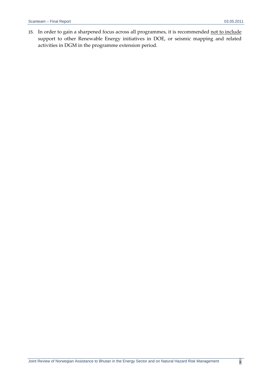15. In order to gain a sharpened focus across all programmes, it is recommended not to include support to other Renewable Energy initiatives in DOE, or seismic mapping and related activities in DGM in the programme extension period.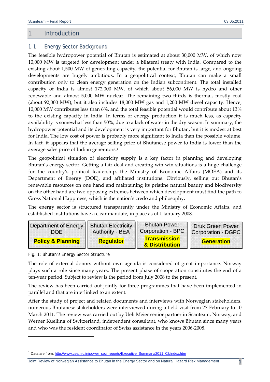## 1 Introduction

#### 1.1 Energy Sector Background

The feasible hydropower potential of Bhutan is estimated at about 30,000 MW, of which now 10,000 MW is targeted for development under a bilateral treaty with India. Compared to the existing about 1,500 MW of generating capacity, the potential for Bhutan is large, and ongoing developments are hugely ambitious. In a geopolitical context, Bhutan can make a small contribution only to clean energy generation on the Indian subcontinent. The total installed capacity of India is almost 172,000 MW, of which about 56,000 MW is hydro and other renewable and almost 5,000 MW nuclear. The remaining two thirds is thermal, mostly coal (about 92,000 MW), but it also includes 18,000 MW gas and 1,200 MW diesel capacity. Hence, 10,000 MW contributes less than 6%, and the total feasible potential would contribute about 13% to the existing capacity in India. In terms of energy production it is much less, as capacity availability is somewhat less than 50%, due to a lack of water in the dry season. In summary, the hydropower potential and its development is very important for Bhutan, but it is modest at best for India. The low cost of power is probably more significant to India than the possible volume. In fact, it appears that the average selling price of Bhutanese power to India is lower than the average sales price of Indian generators.<sup>1</sup>

The geopolitical situation of electricity supply is a key factor in planning and developing Bhutan's energy sector. Getting a fair deal and creating win‐win situations is a huge challenge for the country's political leadership, the Ministry of Economic Affairs (MOEA) and its Department of Energy (DOE), and affiliated institutions. Obviously, selling out Bhutan's renewable resources on one hand and maintaining its pristine natural beauty and biodiversity on the other hand are two opposing extremes between which development must find the path to Gross National Happiness, which is the nation's credo and philosophy.

The energy sector is structured transparently under the Ministry of Economic Affairs, and established institutions have a clear mandate, in place as of 1 January 2008.



#### Fig. 1: Bhutan's Energy Sector Structure

<u> 1989 - Johann Stein, marwolaethau a bh</u>

The role of external donors without own agenda is considered of great importance. Norway plays such a role since many years. The present phase of cooperation constitutes the end of a ten‐year period. Subject to review is the period from July 2008 to the present.

The review has been carried out jointly for three programmes that have been implemented in parallel and that are interlinked to an extent.

After the study of project and related documents and interviews with Norwegian stakeholders, numerous Bhutanese stakeholders were interviewed during a field visit from 27 February to 10 March 2011. The review was carried out by Ueli Meier senior partner in Scanteam, Norway, and Werner Kuelling of Switzerland, independent consultant, who knows Bhutan since many years and who was the resident coordinator of Swiss assistance in the years 2006‐2008.

<sup>&</sup>lt;sup>1</sup> Data are from: http://www.cea.nic.in/power\_sec\_reports/Executive\_Summary/2011\_02/index.htm

Joint Review of Norwegian Assistance to Bhutan in the Energy Sector and on Natural Hazard Risk Management 1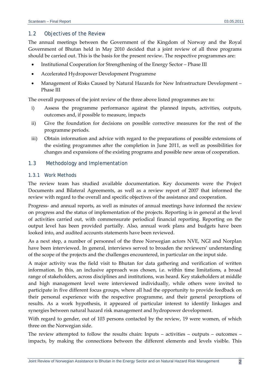## 1.2 Objectives of the Review

The annual meetings between the Government of the Kingdom of Norway and the Royal Government of Bhutan held in May 2010 decided that a joint review of all three programs should be carried out. This is the basis for the present review. The respective programmes are:

- Institutional Cooperation for Strengthening of the Energy Sector Phase III
- Accelerated Hydropower Development Programme
- Management of Risks Caused by Natural Hazards for New Infrastructure Development Phase III

The overall purposes of the joint review of the three above listed programmes are to:

- i) Assess the programme performance against the planned inputs, activities, outputs, outcomes and, if possible to measure, impacts
- ii) Give the foundation for decisions on possible corrective measures for the rest of the programme periods.
- iii) Obtain information and advice with regard to the preparations of possible extensions of the existing programmes after the completion in June 2011, as well as possibilities for changes and expansions of the existing programs and possible new areas of cooperation.

## 1.3 Methodology and Implementation

## *1.3.1 Work Methods*

The review team has studied available documentation. Key documents were the Project Documents and Bilateral Agreements, as well as a review report of 2007 that informed the review with regard to the overall and specific objectives of the assistance and cooperation.

Progress‐ and annual reports, as well as minutes of annual meetings have informed the review on progress and the status of implementation of the projects. Reporting is in general at the level of activities carried out, with commensurate periodical financial reporting. Reporting on the output level has been provided partially. Also, annual work plans and budgets have been looked into, and audited accounts statements have been reviewed.

As a next step, a number of personnel of the three Norwegian actors NVE, NGI and Norplan have been interviewed. In general, interviews served to broaden the reviewers' understanding of the scope of the projects and the challenges encountered, in particular on the input side.

A major activity was the field visit to Bhutan for data gathering and verification of written information. In this, an inclusive approach was chosen, i.e. within time limitations, a broad range of stakeholders, across disciplines and institutions, was heard. Key stakeholders at middle and high management level were interviewed individually, while others were invited to participate in five different focus groups, where all had the opportunity to provide feedback on their personal experience with the respective programme, and their general perceptions of results. As a work hypothesis, it appeared of particular interest to identify linkages and synergies between natural hazard risk management and hydropower development.

With regard to gender, out of 103 persons contacted by the review, 19 were women, of which three on the Norwegian side.

The review attempted to follow the results chain: Inputs – activities – outputs – outcomes – impacts, by making the connections between the different elements and levels visible. This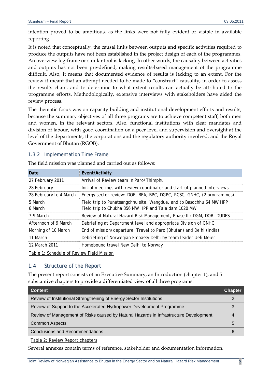intention proved to be ambitious, as the links were not fully evident or visible in available reporting.

It is noted that conceptually, the causal links between outputs and specific activities required to produce the outputs have not been established in the project design of each of the programmes. An overview log‐frame or similar tool is lacking. In other words, the causality between activities and outputs has not been pre‐defined, making results‐based management of the programme difficult. Also, it means that documented evidence of results is lacking to an extent. For the review it meant that an attempt needed to be made to "construct" causality, in order to assess the results chain, and to determine to what extent results can actually be attributed to the programme efforts. Methodologically, extensive interviews with stakeholders have aided the review process.

The thematic focus was on capacity building and institutional development efforts and results, because the summary objectives of all three programs are to achieve competent staff, both men and women, in the relevant sectors. Also, functional institutions with clear mandates and division of labour, with good coordination on a peer level and supervision and oversight at the level of the departments, the corporations and the regulatory authority involved, and the Royal Government of Bhutan (RGOB).

## *1.3.2 Implementation Time Frame*

| Date                   | Event/Activity                                                                                                               |
|------------------------|------------------------------------------------------------------------------------------------------------------------------|
| 27 February 2011       | Arrival of Review team in Paro/Thimphu                                                                                       |
| 28 February            | Initial meetings with review coordinator and start of planned interviews                                                     |
| 28 February to 4 March | Energy sector review: DOE, BEA, BPC, DGPC, RCSC, GNHC, (2 programmes)                                                        |
| 5 March<br>6 March     | Field trip to Punatsangchhu site, Wangdue, and to Basochhu 64 MW HPP<br>Field trip to Chukha 356 MW HPP and Tala dam 1020 MW |
| 7-9 March              | Review of Natural Hazard Risk Management, Phase III: DGM, DOR, DUDES                                                         |
| Afternoon of 9 March   | Debriefing at Department level and appropriate Division of GNHC                                                              |
| Morning of 10 March    | End of mission/departure: Travel to Paro (Bhutan) and Delhi (India)                                                          |
| 11 March               | Debriefing of Norwegian Embassy Delhi by team leader Ueli Meier                                                              |
| 12 March 2011          | Homebound travel New Delhi to Norway                                                                                         |
|                        |                                                                                                                              |

The field mission was planned and carried out as follows:

Table 1: Schedule of Review Field Mission

## 1.4 Structure of the Report

The present report consists of an Executive Summary, an Introduction (chapter 1), and 5 substantive chapters to provide a differentiated view of all three programs:

| <b>Content</b>                                                                        | <b>Chapter</b> |
|---------------------------------------------------------------------------------------|----------------|
| Review of Institutional Strengthening of Energy Sector Institutions                   | ႒              |
| Review of Support to the Accelerated Hydropower Development Programme                 |                |
| Review of Management of Risks caused by Natural Hazards in Infrastructure Development |                |
| <b>Common Aspects</b>                                                                 | $\mathbf{b}$   |
| Conclusions and Recommendations                                                       |                |

Table 2: Review Report chapters

Several annexes contain terms of reference, stakeholder and documentation information.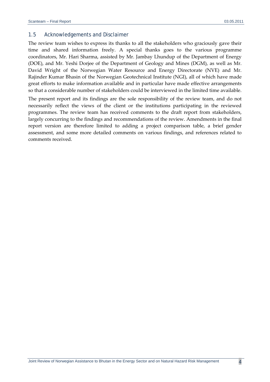#### 1.5 Acknowledgements and Disclaimer

The review team wishes to express its thanks to all the stakeholders who graciously gave their time and shared information freely. A special thanks goes to the various programme coordinators, Mr. Hari Sharma, assisted by Mr. Jambay Lhundup of the Department of Energy (DOE), and Mr. Yeshi Dorjee of the Department of Geology and Mines (DGM), as well as Mr. David Wright of the Norwegian Water Resource and Energy Directorate (NVE) and Mr. Rajinder Kumar Bhasin of the Norwegian Geotechnical Institute (NGI), all of which have made great efforts to make information available and in particular have made effective arrangements so that a considerable number of stakeholders could be interviewed in the limited time available.

The present report and its findings are the sole responsibility of the review team, and do not necessarily reflect the views of the client or the institutions participating in the reviewed programmes. The review team has received comments to the draft report from stakeholders, largely concurring to the findings and recommendations of the review. Amendments in the final report version are therefore limited to adding a project comparison table, a brief gender assessment, and some more detailed comments on various findings, and references related to comments received.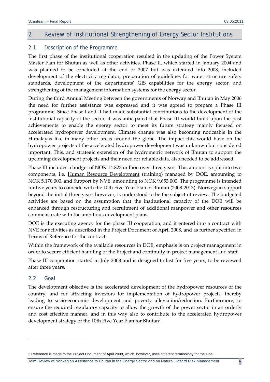## 2 Review of Institutional Strengthening of Energy Sector Institutions

## 2.1 Description of the Programme

The first phase of the institutional cooperation resulted in the updating of the Power System Master Plan for Bhutan as well as other activities. Phase II, which started in January 2004 and was planned to be concluded at the end of 2007 but was extended into 2008, included development of the electricity regulator, preparation of guidelines for water structure safety standards, development of the departments' GIS capabilities for the energy sector, and strengthening of the management information systems for the energy sector.

During the third Annual Meeting between the governments of Norway and Bhutan in May 2006 the need for further assistance was expressed and it was agreed to prepare a Phase III programme. Since Phase I and II had made substantial contributions to the development of the institutional capacity of the sector, it was anticipated that Phase III would build upon the past achievements to enable the energy sector to meet its future strategy mainly focused on accelerated hydropower development. Climate change was also becoming noticeable in the Himalayas like in many other areas around the globe. The impact this would have on the hydropower projects of the accelerated hydropower development was unknown but considered important. This, and strategic extension of the hydrometric network of Bhutan to support the upcoming development projects and their need for reliable data, also needed to be addressed.

Phase III includes a budget of NOK 14.823 million over three years. This amount is split into two components, i.e. Human Resource Development (training) managed by DOE, amounting to NOK 5,170,000, and Support by NVE, amounting to NOK 9,653,000. The programme is intended for five years to coincide with the 10th Five Year Plan of Bhutan (2008‐2013). Norwegian support beyond the initial three years however, is understood to be the subject of review. The budgeted activities are based on the assumption that the institutional capacity of the DOE will be enhanced through restructuring and recruitment of additional manpower and other resources commensurate with the ambitious development plans.

DOE is the executing agency for the phase III cooperation, and it entered into a contract with NVE for activities as described in the Project Document of April 2008, and as further specified in Terms of Reference for the contract.

Within the framework of the available resources in DOE, emphasis is on project management in order to secure efficient handling of the Project and continuity in project management and staff.

Phase III cooperation started in July 2008 and is designed to last for five years, to be reviewed after three years.

## 2.2 Goal

<u> 1989 - Johann Stein, marwolaethau a bh</u>

The development objective is the accelerated development of the hydropower resources of the country, and for attracting investors for implementation of hydropower projects, thereby leading to socio‐economic development and poverty alleviation/reduction. Furthermore, to ensure the required regulatory capacity to allow the growth of the power sector in an orderly and cost effective manner, and in this way also to contribute to the accelerated hydropower development strategy of the 10th Five Year Plan for Bhutan2.

<sup>2</sup> Reference is made to the Project Document of April 2008, which, however, uses different terminology for the Goal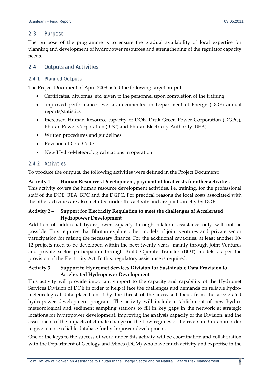## 2.3 Purpose

The purpose of the programme is to ensure the gradual availability of local expertise for planning and development of hydropower resources and strengthening of the regulator capacity needs.

## 2.4 Outputs and Activities

## *2.4.1 Planned Outputs*

The Project Document of April 2008 listed the following target outputs:

- Certificates, diplomas, etc. given to the personnel upon completion of the training
- Improved performance level as documented in Department of Energy (DOE) annual reports/statistics
- Increased Human Resource capacity of DOE, Druk Green Power Corporation (DGPC), Bhutan Power Corporation (BPC) and Bhutan Electricity Authority (BEA)
- Written procedures and guidelines
- Revision of Grid Code
- New Hydro-Meteorological stations in operation

## *2.4.2 Activities*

To produce the outputs, the following activities were defined in the Project Document:

**Activity 1 – Human Resources Development, payment of local costs for other activities** This activity covers the human resource development activities, i.e. training, for the professional staff of the DOE, BEA, BPC and the DGPC. For practical reasons the local costs associated with the other activities are also included under this activity and are paid directly by DOE.

## **Activity 2 – Support for Electricity Regulation to meet the challenges of Accelerated Hydropower Development**

Addition of additional hydropower capacity through bilateral assistance only will not be possible. This requires that Bhutan explore other models of joint ventures and private sector participation for raising the necessary finance. For the additional capacities, at least another 10‐ 12 projects need to be developed within the next twenty years, mainly through Joint Ventures and private sector participation through Build Operate Transfer (BOT) models as per the provision of the Electricity Act. In this, regulatory assistance is required.

## **Activity 3 – Support to Hydromet Services Division for Sustainable Data Provision to Accelerated Hydropower Development**

This activity will provide important support to the capacity and capability of the Hydromet Services Division of DOE in order to help it face the challenges and demands on reliable hydrometeorological data placed on it by the thrust of the increased focus from the accelerated hydropower development program. The activity will include establishment of new hydro‐ meteorological and sediment sampling stations to fill in key gaps in the network at strategic locations for hydropower development, improving the analysis capacity of the Division, and the assessment of the impacts of climate change on the flow regimes of the rivers in Bhutan in order to give a more reliable database for hydropower development.

One of the keys to the success of work under this activity will be coordination and collaboration with the Department of Geology and Mines (DGM) who have much activity and expertise in the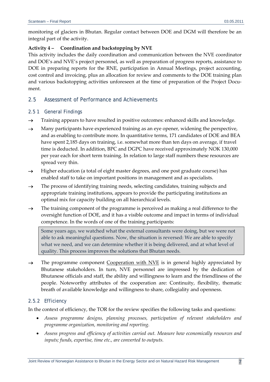monitoring of glaciers in Bhutan. Regular contact between DOE and DGM will therefore be an integral part of the activity.

#### **Activity 4 – Coordination and backstopping by NVE**

This activity includes the daily coordination and communication between the NVE coordinator and DOE's and NVE's project personnel, as well as preparation of progress reports, assistance to DOE in preparing reports for the RNE, participation in Annual Meetings, project accounting, cost control and invoicing, plus an allocation for review and comments to the DOE training plan and various backstopping activities unforeseen at the time of preparation of the Project Document.

## 2.5 Assessment of Performance and Achievements

## *2.5 1 General Findings*

- $\rightarrow$  Training appears to have resulted in positive outcomes: enhanced skills and knowledge.
- $\rightarrow$  Many participants have experienced training as an eye opener, widening the perspective, and as enabling to contribute more. In quantitative terms, 171 candidates of DOE and BEA have spent 2,185 days on training, i.e. somewhat more than ten days on average, if travel time is deducted. In addition, BPC and DGPC have received approximately NOK 130,000 per year each for short term training. In relation to large staff numbers these resources are spread very thin.
- $\rightarrow$  Higher education (a total of eight master degrees, and one post graduate course) has enabled staff to take on important positions in management and as specialists.
- $\rightarrow$  The process of identifying training needs, selecting candidates, training subjects and appropriate training institutions, appears to provide the participating institutions an optimal mix for capacity building on all hierarchical levels.
- $\rightarrow$  The training component of the programme is perceived as making a real difference to the oversight function of DOE, and it has a visible outcome and impact in terms of individual competence. In the words of one of the training participants:

Some years ago, we watched what the external consultants were doing, but we were not able to ask meaningful questions. Now, the situation is reversed: We are able to specify what we need, and we can determine whether it is being delivered, and at what level of quality. This process improves the solutions that Bhutan needs.

 $\rightarrow$  The programme component Cooperation with NVE is in general highly appreciated by Bhutanese stakeholders. In turn, NVE personnel are impressed by the dedication of Bhutanese officials and staff, the ability and willingness to learn and the friendliness of the people. Noteworthy attributes of the cooperation are: Continuity, flexibility, thematic breath of available knowledge and willingness to share, collegiality and openness.

## *2.5.2 Efficiency*

In the context of efficiency, the TOR for the review specifies the following tasks and questions:

- *Assess programme designs, planning processes, participation of relevant stakeholders and programme organization, monitoring and reporting.*
- *Assess progress and efficiency of activities carried out. Measure how economically resources and inputs; funds, expertise, time etc., are converted to outputs.*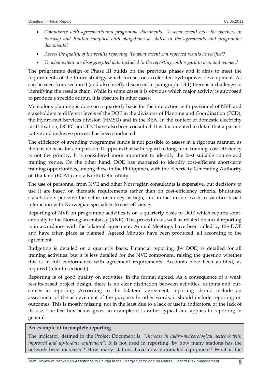- *Compliance with agreements and programme documents. To what extent have the partners in Norway and Bhutan complied with obligations as stated in the agreements and programme documents?*
- *Assess the quality of the results reporting. To what extent can reported results be verified?*
- *To what extent are disaggregated data included in the reporting with regard to men and women?*

The programme design of Phase III builds on the previous phases and it aims to meet the requirements of the future strategy which focuses on accelerated hydropower development. As can be seen from section 0 (and also briefly discussed in paragraph 1.3.1) there is a challenge in identifying the results chain. While in some cases it is obvious which major activity is supposed to produce a specific output, it is obscure in other cases.

Meticulous planning is done on a quarterly basis for the interaction with personnel of NVE and stakeholders at different levels of the DOE in the divisions of Planning and Coordination (PCD), the Hydro‐met Services division (HMSD) and in the BEA. In the context of domestic electricity tariff fixation, DGPC and BPC have also been consulted. It is documented in detail that a participative and inclusive process has been conducted.

The efficiency of spending programme funds is not possible to assess in a rigorous manner, as there is no basis for comparison. It appears that with regard to long-term training, cost-efficiency is not the priority. It is considered more important to identify the best suitable course and training venue. On the other hand, DOE has managed to identify cost‐efficient short‐term training opportunities, among these in the Philippines, with the Electricity Generating Authority of Thailand (EGAT) and a North‐Delhi utility.

The use of personnel from NVE and other Norwegian consultants is expensive, but decisions to use it are based on thematic requirements rather than on cost-efficiency criteria. Bhutanese stakeholders perceive the value‐for‐money as high, and in fact do not wish to sacrifice broad interaction with Norwegian specialists to cost-efficiency.

Reporting of NVE on programme activities is on a quarterly basis to DOE which reports semiannually to the Norwegian embassy (RNE). This procedure as well as related financial reporting is in accordance with the bilateral agreement. Annual Meetings have been called by the DOE and have taken place as planned. Agreed Minutes have been produced, all according to the agreement.

Budgeting is detailed on a quarterly basis. Financial reporting (by DOE) is detailed for all training activities, but it is less detailed for the NVE component, raising the question whether this is in full conformance with agreement requirements. Accounts have been audited, as required (refer to section 0).

Reporting is of good quality on activities, in the format agreed. As a consequence of a weak results-based project design, there is no clear distinction between activities, outputs and outcomes in reporting. According to the bilateral agreement, reporting should include an assessment of the achievement of the purpose. In other words, it should include reporting on outcomes. This is mostly missing, not in the least due to a lack of useful indicators, or the lack of its use. The text box below gives an example; it is rather typical and applies to reporting in general.

#### **An example of incomplete reporting**

The indicator, defined in the Project Document is: *"Increase in hydro‐meteorological network with improved and up‐to‐date equipment".* It is not used in reporting. By how many stations has the network been increased? How many stations have now automated equipment? What is the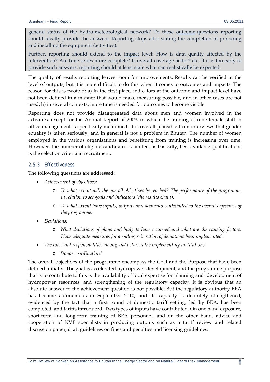general status of the hydro-meteorological network? To these outcome-questions reporting should ideally provide the answers. Reporting stops after stating the completion of procuring and installing the equipment (activities).

Further, reporting should extend to the impact level: How is data quality affected by the intervention? Are time series more complete? Is overall coverage better? etc. If it is too early to provide such answers, reporting should at least state what can realistically be expected.

The quality of results reporting leaves room for improvements. Results can be verified at the level of outputs, but it is more difficult to do this when it comes to outcomes and impacts. The reason for this is twofold: a) In the first place, indicators at the outcome and impact level have not been defined in a manner that would make measuring possible, and in other cases are not used; b) in several contexts, more time is needed for outcomes to become visible.

Reporting does not provide disaggregated data about men and women involved in the activities, except for the Annual Report of 2009, in which the training of nine female staff in office management is specifically mentioned. It is overall plausible from interviews that gender equality is taken seriously, and in general is not a problem in Bhutan. The number of women employed in the various organisations and benefitting from training is increasing over time. However, the number of eligible candidates is limited, as basically, best available qualifications is the selection criteria in recruitment.

## *2.5.3 Effectiveness*

The following questions are addressed:

- *Achievement of objectives:*
	- o *To what extent will the overall objectives be reached? The performance of the programme in relation to set goals and indicators (the results chain).*
	- o *To what extent have inputs, outputs and activities contributed to the overall objectives of the programme.*
- *Deviations:*
	- o *What deviations of plans and budgets have occurred and what are the causing factors. Have adequate measures for avoiding reiteration of deviations been implemented.*
- *The roles and responsibilities among and between the implementing institutions.*
	- o *Donor coordination?*

The overall objectives of the programme encompass the Goal and the Purpose that have been defined initially. The goal is accelerated hydropower development, and the programme purpose that is to contribute to this is the availability of local expertise for planning and development of hydropower resources, and strengthening of the regulatory capacity. It is obvious that an absolute answer to the achievement question is not possible. But the regulatory authority BEA has become autonomous in September 2010, and its capacity is definitely strengthened, evidenced by the fact that a first round of domestic tariff setting, led by BEA, has been completed, and tariffs introduced. Two types of inputs have contributed. On one hand exposure, short-term and long-term training of BEA personnel, and on the other hand, advice and cooperation of NVE specialists in producing outputs such as a tariff review and related discussion paper, draft guidelines on fines and penalties and licensing guidelines.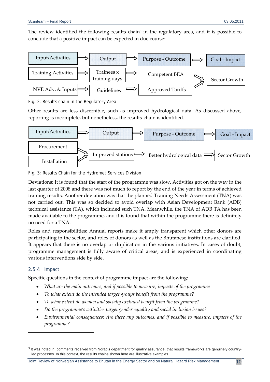

Fig. 2: Results chain in the Regulatory Area

Other results are less discernible, such as improved hydrological data. As discussed above, reporting is incomplete, but nonetheless, the results‐chain is identified.



## Fig. 3: Results Chain for the Hydromet Services Division

Deviations: It is found that the start of the programme was slow. Activities got on the way in the last quarter of 2008 and there was not much to report by the end of the year in terms of achieved training results. Another deviation was that the planned Training Needs Assessment (TNA) was not carried out. This was so decided to avoid overlap with Asian Development Bank (ADB) technical assistance (TA), which included such TNA. Meanwhile, the TNA of ADB TA has been made available to the programme, and it is found that within the programme there is definitely no need for a TNA.

Roles and responsibilities: Annual reports make it amply transparent which other donors are participating in the sector, and roles of donors as well as the Bhutanese institutions are clarified. It appears that there is no overlap or duplication in the various initiatives. In cases of doubt, programme management is fully aware of critical areas, and is experienced in coordinating various interventions side by side.

## *2.5.4 Impact*

<u> 1989 - Johann Barn, mars ar breithinn ar chuid ann an t-</u>

Specific questions in the context of programme impact are the following:

- *What are the main outcomes, and if possible to measure, impacts of the programme*
- *To what extent do the intended target groups benefit from the programme?*
- *To what extent do women and socially excluded benefit from the programme?*
- *Do the programme's activities target gender equality and social inclusion issues?*
- *Environmental consequences: Are there any outcomes, and if possible to measure, impacts of the programme?*

Joint Review of Norwegian Assistance to Bhutan in the Energy Sector and on Natural Hazard Risk Management 10

 $3$  It was noted in comments received from Norad's department for qualiry assurance, that results frameworks are genuinely countryled processes. In this context, the results chains shown here are illustrative examples.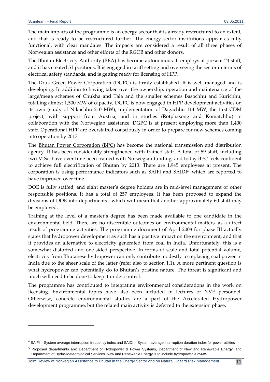The main impacts of the programme is an energy sector that is already restructured to an extent, and that is ready to be restructured further. The energy sector institutions appear as fully functional, with clear mandates. The impacts are considered a result of all three phases of Norwegian assistance and other efforts of the RGOB and other donors.

The Bhutan Electricity Authority (BEA) has become autonomous. It employs at present 24 staff, and it has created 51 positions. It is engaged in tariff setting and overseeing the sector in terms of electrical safety standards, and is getting ready for licensing of HPP.

The Druk Green Power Corporation (DGPC) is firmly established. It is well managed and is developing. In addition to having taken over the ownership, operation and maintenance of the large/mega schemes of Chukha and Tala and the smaller schemes Basochhu and Kurichhu, totalling almost 1,500 MW of capacity, DGPC is now engaged in HPP development activities on its own (study of Nikachhu 210 MW), implementation of Dagachhu 114 MW, the first CDM project, with support from Austria, and in studies (Rotphasong and Komatchhu) in collaboration with the Norwegian assistance. DGPC is at present employing more than 1,400 staff. Operational HPP are overstaffed consciously in order to prepare for new schemes coming into operation by 2017.

The Bhutan Power Corporation (BPC) has become the national transmission and distribution agency. It has been considerably strengthened with trained staff. A total of 59 staff, including two M.Sc. have over time been trained with Norwegian funding, and today BPC feels confident to achieve full electrification of Bhutan by 2013. There are 1,945 employees at present. The corporation is using performance indicators such as SAIFI and SAIDI<sup>4</sup>, which are reported to have improved over time.

DOE is fully staffed, and eight master's degree holders are in mid-level management or other responsible positions. It has a total of 257 employees. It has been proposed to expand the divisions of DOE into departments<sup>5</sup>, which will mean that another approximately 60 staff may be employed.

Training at the level of a master's degree has been made available to one candidate in the environmental field. There are no discernible outcomes on environmental matters, as a direct result of programme activities. The programme document of April 2008 for phase III actually states that hydropower development as such has a positive impact on the environment, and that it provides an alternative to electricity generated from coal in India. Unfortunately, this is a somewhat distorted and one-sided perspective. In terms of scale and total potential volume, electricity from Bhutanese hydropower can only contribute modestly to replacing coal power in India due to the sheer scale of the latter (refer also to section 1.1). A more pertinent question is what hydropower can potentially do to Bhutan's pristine nature. The threat is significant and much will need to be done to keep it under control.

The programme has contributed to integrating environmental considerations in the work on licensing. Environmental topics have also been included in lectures of NVE personnel. Otherwise, concrete environmental studies are a part of the Accelerated Hydropower development programme, but the related main activity is deferred to the extension phase.

<u> 1989 - Johann Stein, marwolaethau a bh</u>

 $4$  SAIFI = System average interruption frequency index and SAIDI = System average interruption duration index for power utilities

<sup>5</sup> Proposed departments are: Department of Hydropower & Power Systems, Department of New and Renewable Energy, and Department of Hydro-Meteorological Services. New and Renewable Energy is to include hydropower < 25MW.

Joint Review of Norwegian Assistance to Bhutan in the Energy Sector and on Natural Hazard Risk Management 11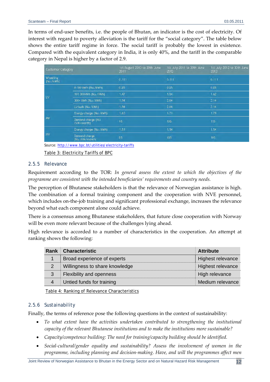In terms of end‐user benefits, i.e. the people of Bhutan, an indicator is the cost of electricity. Of interest with regard to poverty alleviation is the tariff for the "social category". The table below shows the entire tariff regime in force. The social tariff is probably the lowest in existence. Compared with the equivalent category in India, it is only 40%, and the tariff in the comparable category in Nepal is higher by a factor of 2.9.

| Customer Category     |                                  | 1st August 2010 to 30th June<br>2011 | 1st July 2011 to 30th June<br>2012 | 1st July 2012 to 30th June<br>2013 |
|-----------------------|----------------------------------|--------------------------------------|------------------------------------|------------------------------------|
| Wheeling<br>(Nu./kWh) |                                  | 0.111                                | 0,111                              | 0.111                              |
|                       | 0-100 kWh (Nu./kWh)              | 0.85                                 | 0.85                               | 0.85                               |
|                       | 101-300kWh (Nu./kWh)             | 1.47                                 | 1.54                               | 1.62                               |
| <b>LV</b>             | 300+ KWh (Nu. / KWh)             | 1.94                                 | 2.04                               | 2.14                               |
|                       | LV bulk (Na./kWh)                | 1.94                                 | 2.04                               | 2.14                               |
|                       | Energy charge (Nu./kWh)          | 1.63                                 | 1.71                               | 1.79                               |
| MV.                   | Demand charge (Nu.<br>/kW/month) | 95                                   | 105                                | 115                                |
|                       | Energy charge (Nu./kWh)          | 1.51                                 | 1.54                               | 1.54                               |
| <b>HV</b>             | Demand charge<br>(Nu./kW/month)  | 85                                   | 105                                | 105                                |

Source: http://www.bpc.bt/utilities/electricity-tariffs

Table 3: Electricity Tariffs of BPC

#### *2.5.5 Relevance*

Requirement according to the TOR: *In general assess the extent to which the objectives of the programme are consistent with the intended beneficiaries' requirements and country needs.*

The perception of Bhutanese stakeholders is that the relevance of Norwegian assistance is high. The combination of a formal training component and the cooperation with NVE personnel, which includes on-the-job training and significant professional exchange, increases the relevance beyond what each component alone could achieve.

There is a consensus among Bhutanese stakeholders, that future close cooperation with Norway will be even more relevant because of the challenges lying ahead.

High relevance is accorded to a number of characteristics in the cooperation. An attempt at ranking shows the following:

|   | <b>Rank Characteristic</b>      | <b>Attribute</b>  |
|---|---------------------------------|-------------------|
|   | Broad experience of experts     | Highest relevance |
|   | Willingness to share knowledge  | Highest relevance |
| 3 | <b>Flexibility and openness</b> | High relevance    |
|   | Untied funds for training       | Medium relevance  |

Table 4: Ranking of Relevance Characteristics

## *2.5.6 Sustainability*

Finally, the terms of reference pose the following questions in the context of sustainability:

- *To what extent have the activities undertaken contributed to strengthening the institutional capacity of the relevant Bhutanese institutions and to make the institutions more sustainable?*
- *Capacity/competence building: The need for training/capacity building should be identified.*
- *Social‐cultural/gender equality and sustainability? Assess the involvement of women in the programme, including planning and decision‐making. Have, and will the programmes affect men*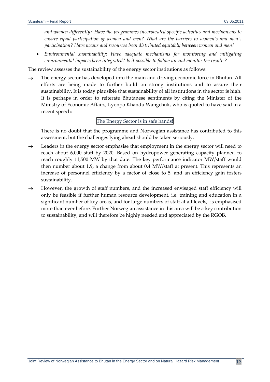*and women differently? Have the programmes incorporated specific activities and mechanisms to ensure equal participation of women and men? What are the barriers to women's and men's participation? Have means and resources been distributed equitably between women and men?*

 *Environmental sustainability: Have adequate mechanisms for monitoring and mitigating environmental impacts been integrated? Is it possible to follow up and monitor the results?*

The review assesses the sustainability of the energy sector institutions as follows:

 $\rightarrow$  The energy sector has developed into the main and driving economic force in Bhutan. All efforts are being made to further build on strong institutions and to assure their sustainability. It is today plausible that sustainability of all institutions in the sector is high. It is perhaps in order to reiterate Bhutanese sentiments by citing the Minister of the Ministry of Economic Affairs, Lyonpo Khandu Wangchuk, who is quoted to have said in a recent speech:

#### The Energy Sector is in safe hands!

There is no doubt that the programme and Norwegian assistance has contributed to this assessment, but the challenges lying ahead should be taken seriously.

- $\rightarrow$  Leaders in the energy sector emphasise that employment in the energy sector will need to reach about 6,000 staff by 2020. Based on hydropower generating capacity planned to reach roughly 11,500 MW by that date. The key performance indicator MW/staff would then number about 1.9, a change from about 0.4 MW/staff at present. This represents an increase of personnel efficiency by a factor of close to 5, and an efficiency gain fosters sustainability.
- $\rightarrow$  However, the growth of staff numbers, and the increased envisaged staff efficiency will only be feasible if further human resource development, i.e. training and education in a significant number of key areas, and for large numbers of staff at all levels, is emphasised more than ever before. Further Norwegian assistance in this area will be a key contribution to sustainability, and will therefore be highly needed and appreciated by the RGOB.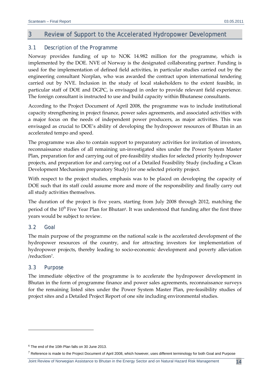# 3 Review of Support to the Accelerated Hydropower Development

## 3.1 Description of the Programme

Norway provides funding of up to NOK 14.982 million for the programme, which is implemented by the DOE. NVE of Norway is the designated collaborating partner. Funding is used for the implementation of defined field activities, in particular studies carried out by the engineering consultant Norplan, who was awarded the contract upon international tendering carried out by NVE. Inclusion in the study of local stakeholders to the extent feasible, in particular staff of DOE and DGPC, is envisaged in order to provide relevant field experience. The foreign consultant is instructed to use and build capacity within Bhutanese consultants.

According to the Project Document of April 2008, the programme was to include institutional capacity strengthening in project finance, power sales agreements, and associated activities with a major focus on the needs of independent power producers, as major activities. This was envisaged as crucial to DOE's ability of developing the hydropower resources of Bhutan in an accelerated tempo and speed.

The programme was also to contain support to preparatory activities for invitation of investors, reconnaissance studies of all remaining un‐investigated sites under the Power System Master Plan, preparation for and carrying out of pre‐feasibility studies for selected priority hydropower projects, and preparation for and carrying out of a Detailed Feasibility Study (including a Clean Development Mechanism preparatory Study) for one selected priority project.

With respect to the project studies, emphasis was to be placed on developing the capacity of DOE such that its staff could assume more and more of the responsibility and finally carry out all study activities themselves.

The duration of the project is five years, starting from July 2008 through 2012, matching the period of the 10<sup>th</sup> Five Year Plan for Bhutan<sup>6</sup>. It was understood that funding after the first three years would be subject to review.

## 3.2 Goal

The main purpose of the programme on the national scale is the accelerated development of the hydropower resources of the country, and for attracting investors for implementation of hydropower projects, thereby leading to socio‐economic development and poverty alleviation /reduction<sup>7</sup>.

#### 3.3 Purpose

The immediate objective of the programme is to accelerate the hydropower development in Bhutan in the form of programme finance and power sales agreements, reconnaissance surveys for the remaining listed sites under the Power System Master Plan, pre‐feasibility studies of project sites and a Detailed Project Report of one site including environmental studies.

<u> 1989 - Johann Barn, mars ar breithinn ar chuid ann an t-</u>

 $6$  The end of the 10th Plan falls on 30 June 2013.

 $7$  Reference is made to the Project Document of April 2008, which however, uses different terminology for both Goal and Purpose

Joint Review of Norwegian Assistance to Bhutan in the Energy Sector and on Natural Hazard Risk Management 14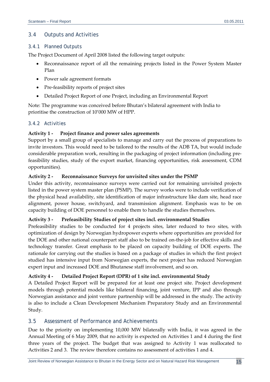## 3.4 Outputs and Activities

## *3.4.1 Planned Outputs*

The Project Document of April 2008 listed the following target outputs:

- Reconnaissance report of all the remaining projects listed in the Power System Master Plan
- Power sale agreement formats
- Pre-feasibility reports of project sites
- Detailed Project Report of one Project, including an Environmental Report

Note: The programme was conceived before Bhutan's bilateral agreement with India to prioritise the construction of 10'000 MW of HPP.

## *3.4.2 Activities*

## **Activity 1 ‐ Project finance and power sales agreements**

Support by a small group of specialists to manage and carry out the process of preparations to invite investors. This would need to be tailored to the results of the ADB TA, but would include considerable preparation work, resulting in the packaging of project information (including pre‐ feasibility studies, study of the export market, financing opportunities, risk assessment, CDM opportunities).

## **Activity 2 ‐ Reconnaissance Surveys for unvisited sites under the PSMP**

Under this activity, reconnaissance surveys were carried out for remaining unvisited projects listed in the power system master plan (PSMP). The survey works were to include verification of the physical head availability, site identification of major infrastructure like dam site, head race alignment, power house, switchyard, and transmission alignment. Emphasis was to be on capacity building of DOE personnel to enable them to handle the studies themselves.

## **Activity 3 ‐ Prefeasibility Studies of project sites incl. environmental Studies**

Prefeasibility studies to be conducted for 4 projects sites, later reduced to two sites, with optimization of design by Norwegian hydropower experts where opportunities are provided for the DOE and other national counterpart staff also to be trained on‐the‐job for effective skills and technology transfer. Great emphasis to be placed on capacity building of DOE experts. The rationale for carrying out the studies is based on a package of studies in which the first project studied has intensive input from Norwegian experts, the next project has reduced Norwegian expert input and increased DOE and Bhutanese staff involvement, and so on.

## **Activity 4 ‐ Detailed Project Report (DPR) of 1 site incl. environmental Study**

A Detailed Project Report will be prepared for at least one project site. Project development models through potential models like bilateral financing, joint venture, IPP and also through Norwegian assistance and joint venture partnership will be addressed in the study. The activity is also to include a Clean Development Mechanism Preparatory Study and an Environmental Study.

## 3.5 Assessment of Performance and Achievements

Due to the priority on implementing 10,000 MW bilaterally with India, it was agreed in the Annual Meeting of 6 May 2009, that no activity is expected on Activities 1 and 4 during the first three years of the project. The budget that was assigned to Activity 1 was reallocated to Activities 2 and 3. The review therefore contains no assessment of activities 1 and 4.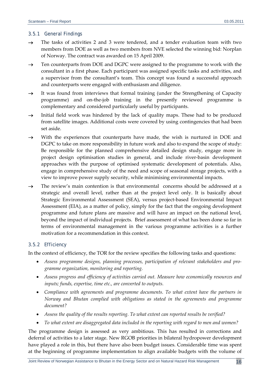#### *3.5.1 General Findings*

- $\rightarrow$  The tasks of activities 2 and 3 were tendered, and a tender evaluation team with two members from DOE as well as two members from NVE selected the winning bid: Norplan of Norway. The contract was awarded on 15 April 2009.
- $\rightarrow$  Ten counterparts from DOE and DGPC were assigned to the programme to work with the consultant in a first phase. Each participant was assigned specific tasks and activities, and a supervisor from the consultant's team. This concept was found a successful approach and counterparts were engaged with enthusiasm and diligence.
- $\rightarrow$  It was found from interviews that formal training (under the Strengthening of Capacity programme) and on‐the‐job training in the presently reviewed programme is complementary and considered particularly useful by participants.
- $\rightarrow$  Initial field work was hindered by the lack of quality maps. These had to be produced from satellite images. Additional costs were covered by using contingencies that had been set aside.
- $\rightarrow$  With the experiences that counterparts have made, the wish is nurtured in DOE and DGPC to take on more responsibility in future work and also to expand the scope of study: Be responsible for the planned comprehensive detailed design study, engage more in project design optimisation studies in general, and include river-basin development approaches with the purpose of optimised systematic development of potentials. Also, engage in comprehensive study of the need and scope of seasonal storage projects, with a view to improve power supply security, while minimising environmental impacts.
- $\rightarrow$  The review's main contention is that environmental concerns should be addressed at a strategic and overall level, rather than at the project level only. It is basically about Strategic Environmental Assessment (SEA), versus project‐based Environmental Impact Assessment (EIA), as a matter of policy, simply for the fact that the ongoing development programme and future plans are massive and will have an impact on the national level, beyond the impact of individual projects. Brief assessment of what has been done so far in terms of environmental management in the various programme activities is a further motivation for a recommendation in this context.

## *3.5.2 Efficiency*

In the context of efficiency, the TOR for the review specifies the following tasks and questions:

- *Assess programme designs, planning processes, participation of relevant stakeholders and pro‐ gramme organization, monitoring and reporting.*
- *Assess progress and efficiency of activities carried out. Measure how economically resources and inputs; funds, expertise, time etc., are converted to outputs.*
- *Compliance with agreements and programme documents. To what extent have the partners in Norway and Bhutan complied with obligations as stated in the agreements and programme document?*
- *Assess the quality of the results reporting. To what extent can reported results be verified?*
- *To what extent are disaggregated data included in the reporting with regard to men and women?*

The programme design is assessed as very ambitious. This has resulted in corrections and deferral of activities to a later stage. New RGOB priorities in bilateral hydropower development have played a role in this, but there have also been budget issues. Considerable time was spent at the beginning of programme implementation to align available budgets with the volume of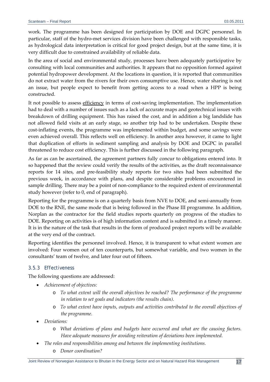work. The programme has been designed for participation by DOE and DGPC personnel. In particular, staff of the hydro-met services division have been challenged with responsible tasks, as hydrological data interpretation is critical for good project design, but at the same time, it is very difficult due to constrained availability of reliable data.

In the area of social and environmental study, processes have been adequately participative by consulting with local communities and authorities. It appears that no opposition formed against potential hydropower development. At the locations in question, it is reported that communities do not extract water from the rivers for their own consumptive use. Hence, water sharing is not an issue, but people expect to benefit from getting access to a road when a HPP is being constructed.

It not possible to assess efficiency in terms of cost-saving implementation. The implementation had to deal with a number of issues such as a lack of accurate maps and geotechnical issues with breakdown of drilling equipment. This has raised the cost, and in addition a big landslide has not allowed field visits at an early stage, so another trip had to be undertaken. Despite these cost-inflating events, the programme was implemented within budget, and some savings were even achieved overall. This reflects well on efficiency. In another area however, it came to light that duplication of efforts in sediment sampling and analysis by DOE and DGPC in parallel threatened to reduce cost efficiency. This is further discussed in the following paragraph.

As far as can be ascertained, the agreement partners fully concur to obligations entered into. It so happened that the review could verify the results of the activities, as the draft reconnaissance reports for 14 sites, and pre‐feasibility study reports for two sites had been submitted the previous week, in accordance with plans, and despite considerable problems encountered in sample drilling. There may be a point of non-compliance to the required extent of environmental study however (refer to 0, end of paragraph).

Reporting for the programme is on a quarterly basis from NVE to DOE, and semi-annually from DOE to the RNE, the same mode that is being followed in the Phase III programme. In addition, Norplan as the contractor for the field studies reports quarterly on progress of the studies to DOE. Reporting on activities is of high information content and is submitted in a timely manner. It is in the nature of the task that results in the form of produced project reports will be available at the very end of the contract.

Reporting identifies the personnel involved. Hence, it is transparent to what extent women are involved: Four women out of ten counterparts, but somewhat variable, and two women in the consultants' team of twelve, and later four out of fifteen.

## *3.5.3 Effectiveness*

The following questions are addressed:

- *Achievement of objectives:*
	- o *To what extent will the overall objectives be reached? The performance of the programme in relation to set goals and indicators (the results chain).*
	- o *To what extent have inputs, outputs and activities contributed to the overall objectives of the programme.*
- *Deviations:*
	- o *What deviations of plans and budgets have occurred and what are the causing factors. Have adequate measures for avoiding reiteration of deviations been implemented.*
- *The roles and responsibilities among and between the implementing institutions.*
	- o *Donor coordination?*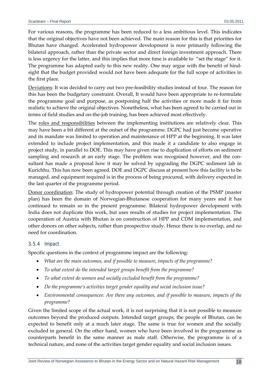For various reasons, the programme has been reduced to a less ambitious level. This indicates that the original objectives have not been achieved. The main reason for this is that priorities for Bhutan have changed. Accelerated hydropower development is now primarily following the bilateral approach, rather than the private sector and direct foreign investment approach. There is less urgency for the latter, and this implies that more time is available to "set the stage" for it. The programme has adapted early to this new reality. One may argue with the benefit of hind‐ sight that the budget provided would not have been adequate for the full scope of activities in the first place.

Deviations: It was decided to carry out two pre‐feasibility studies instead of four. The reason for this has been the budgetary constraint. Overall, It would have been appropriate to re‐formulate the programme goal and purpose, as postponing half the activities or more made it far from realistic to achieve the original objectives. Nonetheless, what has been agreed to be carried out in terms of field studies and on‐the‐job training, has been achieved most effectively.

The roles and responsibilities between the implementing institutions are relatively clear. This may have been a bit different at the outset of the programme. DGPC had just become operative and its mandate was limited to operation and maintenance of HPP at the beginning. It was later extended to include project implementation, and this made it a candidate to also engage in project study, in parallel to DOE. This may have given rise to duplication of efforts on sediment sampling and research at an early stage. The problem was recognised however, and the consultant has made a proposal how it may be solved by upgrading the DGPC sediment lab in Kurichhu. This has now been agreed. DOE and DGPC discuss at present how this facility is to be managed, and equipment required is in the process of being procured, with delivery expected in the last quarter of the programme period.

Donor coordination: The study of hydropower potential through creation of the PSMP (master plan) has been the domain of Norwegian‐Bhutanese cooperation for many years and it has continued to remain so in the present programme. Bilateral hydropower development with India does not duplicate this work, but uses results of studies for project implementation. The cooperation of Austria with Bhutan is on construction of HPP and CDM implementation, and other donors on other subjects, rather than prospective study. Hence there is no overlap, and no need for coordination.

#### *3.5.4 Impact*

Specific questions in the context of programme impact are the following:

- *What are the main outcomes, and if possible to measure, impacts of the programme?*
- *To what extent do the intended target groups benefit from the programme?*
- *To what extent do women and socially excluded benefit from the programme?*
- *Do the programme's activities target gender equality and social inclusion issue?*
- *Environmental consequences: Are there any outcomes, and if possible to measure, impacts of the programme?*

Given the limited scope of the actual work, it is not surprising that it is not possible to measure outcomes beyond the produced outputs. Intended target groups, the people of Bhutan, can be expected to benefit only at a much later stage. The same is true for women and the socially excluded in general. On the other hand, women who have been involved in the programme as counterparts benefit in the same manner as male staff. Otherwise, the programme is of a technical nature, and none of the activities target gender equality and social inclusion issues.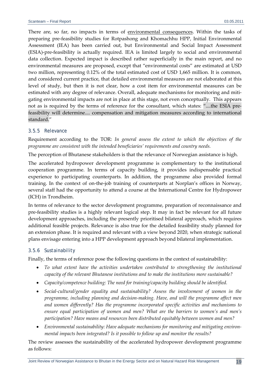There are, so far, no impacts in terms of environmental consequences. Within the tasks of preparing pre‐feasibility studies for Rotpashong and Khomachhu HPP, Initial Environmental Assessment (IEA) has been carried out, but Environmental and Social Impact Assessment (ESIA)‐pre‐feasibility is actually required. IEA is limited largely to social and environmental data collection. Expected impact is described rather superficially in the main report, and no environmental measures are proposed, except that "environmental costs" are estimated at USD two million, representing 0.12% of the total estimated cost of USD 1,665 million. It is common, and considered current practice, that detailed environmental measures are not elaborated at this level of study, but then it is not clear, how a cost item for environmental measures can be estimated with any degree of relevance. Overall, adequate mechanisms for monitoring and mitigating environmental impacts are not in place at this stage, not even conceptually. This appears not as is required by the terms of reference for the consultant, which states: "....the ESIA prefeasibility will determine.... compensation and mitigation measures according to international standard."

#### *3.5.5 Relevance*

Requirement according to the TOR: *In general assess the extent to which the objectives of the programme are consistent with the intended beneficiaries' requirements and country needs.*

The perception of Bhutanese stakeholders is that the relevance of Norwegian assistance is high.

The accelerated hydropower development programme is complementary to the institutional cooperation programme. In terms of capacity building, it provides indispensable practical experience to participating counterparts. In addition, the programme also provided formal training. In the context of on‐the‐job training of counterparts at Norplan's offices in Norway, several staff had the opportunity to attend a course at the International Centre for Hydropower (ICH) in Trondheim.

In terms of relevance to the sector development programme, preparation of reconnaissance and pre-feasibility studies is a highly relevant logical step. It may in fact be relevant for all future development approaches, including the presently prioritised bilateral approach, which requires additional feasible projects. Relevance is also true for the detailed feasibility study planned for an extension phase. It is required and relevant with a view beyond 2020, when strategic national plans envisage entering into a HPP development approach beyond bilateral implementation.

#### *3.5.6 Sustainability*

Finally, the terms of reference pose the following questions in the context of sustainability:

- *To what extent have the activities undertaken contributed to strengthening the institutional capacity of the relevant Bhutanese institutions and to make the institutions more sustainable?*
- *Capacity/competence building: The need for training/capacity building should be identified.*
- *Social‐cultural/gender equality and sustainability? Assess the involvement of women in the programme, including planning and decision‐making. Have, and will the programme affect men and women differently? Has the programme incorporated specific activities and mechanisms to ensure equal participation of women and men? What are the barriers to women's and men's participation? Have means and resources been distributed equitably between women and men?*
- *Environmental sustainability: Have adequate mechanisms for monitoring and mitigating environ‐ mental impacts been integrated? Is it possible to follow up and monitor the results?*

The review assesses the sustainability of the accelerated hydropower development programme as follows: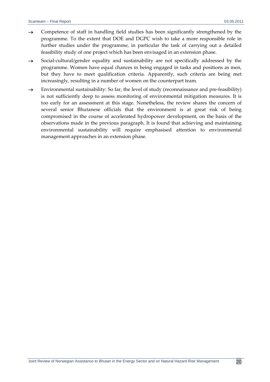- $\rightarrow$  Competence of staff in handling field studies has been significantly strengthened by the programme. To the extent that DOE and DGPC wish to take a more responsible role in further studies under the programme, in particular the task of carrying out a detailed feasibility study of one project which has been envisaged in an extension phase.
- $\rightarrow$  Social-cultural/gender equality and sustainability are not specifically addressed by the programme. Women have equal chances in being engaged in tasks and positions as men, but they have to meet qualification criteria. Apparently, such criteria are being met increasingly, resulting in a number of women on the counterpart team.
- $\rightarrow$  Environmental sustainability: So far, the level of study (reconnaissance and pre-feasibility) is not sufficiently deep to assess monitoring of environmental mitigation measures. It is too early for an assessment at this stage. Nonetheless, the review shares the concern of several senior Bhutanese officials that the environment is at great risk of being compromised in the course of accelerated hydropower development, on the basis of the observations made in the previous paragraph. It is found that achieving and maintaining environmental sustainability will require emphasised attention to environmental management approaches in an extension phase.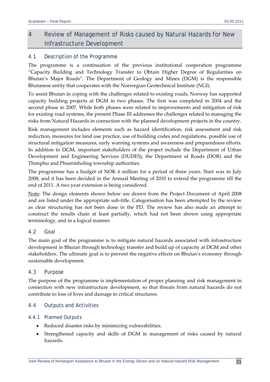# 4 Review of Management of Risks caused by Natural Hazards for New Infrastructure Development

## 4.1 Description of the Programme

The programme is a continuation of the previous institutional cooperation programme "Capacity Building and Technology Transfer to Obtain Higher Degree of Regularities on Bhutan's Major Roads". The Department of Geology and Mines (DGM) is the responsible Bhutanese entity that cooperates with the Norwegian Geotechnical Institute (NGI).

To assist Bhutan in coping with the challenges related to existing roads, Norway has supported capacity building projects at DGM in two phases. The first was completed in 2004 and the second phase in 2007. While both phases were related to improvements and mitigation of risk for existing road systems, the present Phase III addresses the challenges related to managing the risks from Natural Hazards in connection with the planned development projects in the country.

Risk management includes elements such as hazard identification, risk assessment and risk reduction, measures for land use practice, use of building codes and regulations, possible use of structural mitigation measures, early warning systems and awareness and preparedness efforts. In addition to DGM, important stakeholders of the project include the Department of Urban Development and Engineering Services (DUDES), the Department of Roads (DOR) and the Thimphu and Phuentsholing township authorities.

The programme has a budget of NOK 6 million for a period of three years. Start was in July 2008, and it has been decided in the Annual Meeting of 2010 to extend the programme till the end of 2011. A two year extension is being considered.

Note: The design elements shown below are drawn from the Project Document of April 2008 and are listed under the appropriate sub-title. Categorisation has been attempted by the review as clear structuring has not been done in the PD. The review has also made an attempt to construct the results chain at least partially, which had not been shown using appropriate terminology, and in a logical manner.

## 4.2 Goal

The main goal of the programme is to mitigate natural hazards associated with infrastructure development in Bhutan through technology transfer and build up of capacity at DGM and other stakeholders. The ultimate goal is to prevent the negative effects on Bhutan's economy through sustainable development.

## 4.3 Purpose

The purpose of the programme is implementation of proper planning and risk management in connection with new infrastructure development, so that threats from natural hazards do not contribute to loss of lives and damage to critical structures.

## 4.4 Outputs and Activities

## *4.4.1 Planned Outputs*

- Reduced disaster risks by minimizing vulnerabilities.
- Strengthened capacity and skills of DGM in management of risks caused by natural hazards.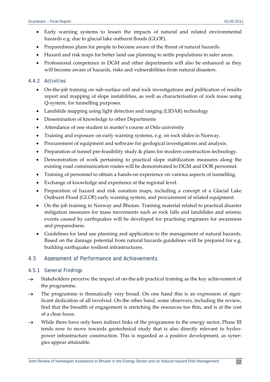- Early warning systems to lessen the impacts of natural and related environmental hazards e.g. due to glacial lake outburst floods (GLOF).
- Preparedness plans for people to become aware of the threat of natural hazards.
- Hazard and risk maps for better land use planning to settle populations in safer areas.
- Professional competence in DGM and other departments will also be enhanced as they will become aware of hazards, risks and vulnerabilities from natural disasters.

## *4.4.2 Activities*

- On-the-job training on sub-surface soil and rock investigations and publication of results report and mapping of slope instabilities, as well as characterisation of rock mass using Q‐system, for tunnelling purposes.
- Landslide mapping using light detection and ranging (LIDAR) technology
- Dissemination of knowledge to other Departments
- Attendance of one student in master's course at Oslo university
- Training and exposure on early warning systems, e.g. on rock slides in Norway.
- Procurement of equipment and software for geological investigations and analysis.
- Preparation of tunnel pre-feasibility study & plans for modern construction technology.
- Demonstration of work pertaining to practical slope stabilization measures along the existing road communication routes will be demonstrated to DGM and DOR personnel.
- Training of personnel to obtain a hands‐on experience on various aspects of tunnelling.
- Exchange of knowledge and experience at the regional level.
- Preparation of hazard and risk zonation maps, including a concept of a Glacial Lake Outburst Flood (GLOF) early warning system, and procurement of related equipment.
- On the job training in Norway and Bhutan. Training material related to practical disaster mitigation measures for mass movements such as rock falls and landslides and seismic events caused by earthquakes will be developed for practising engineers for awareness and preparedness.
- Guidelines for land use planning and application to the management of natural hazards. Based on the damage potential from natural hazards guidelines will be prepared for e.g. building earthquake resilient infrastructures.

## 4.5 Assessment of Performance and Achievements

#### *4.5.1 General Findings*

- $\rightarrow$  Stakeholders perceive the impact of on-the-job practical training as the key achievement of the programme.
- $\rightarrow$  The programme is thematically very broad. On one hand this is an expression of significant dedication of all involved. On the other hand, some observers, including the review, find that the breadth of engagement is stretching the resources too thin, and is at the cost of a clear focus.
- $\rightarrow$  While there have only been indirect links of the programme to the energy sector, Phase III tends now to move towards geotechnical study that is also directly relevant to hydropower infrastructure construction. This is regarded as a positive development, as syner‐ gies appear attainable.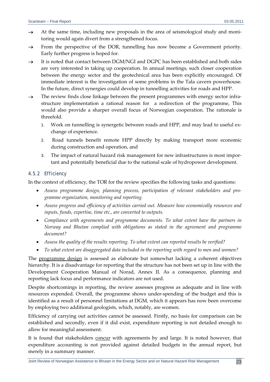- $\rightarrow$  At the same time, including new proposals in the area of seismological study and monitoring would again divert from a strengthened focus.
- $\rightarrow$  From the perspective of the DOR, tunnelling has now become a Government priority. Early further progress is hoped for.
- $\rightarrow$  It is noted that contact between DGM/NGI and DGPC has been established and both sides are very interested in taking up cooperation. In annual meetings, such closer cooperation between the energy sector and the geotechnical area has been explicitly encouraged. Of immediate interest is the investigation of some problems in the Tala cavern powerhouse. In the future, direct synergies could develop in tunnelling activities for roads and HPP.
- $\rightarrow$  The review finds close linkage between the present programmes with energy sector infrastructure implementation a rational reason for a redirection of the programme, This would also provide a sharper overall focus of Norwegian cooperation. The rationale is threefold.
	- 1. Work on tunnelling is synergetic between roads and HPP, and may lead to useful ex‐ change of experience.
	- 2. Road tunnels benefit remote HPP directly by making transport more economic during construction and operation, and
	- 3. The impact of natural hazard risk management for new infrastructures is most impor‐ tant and potentially beneficial due to the national scale of hydropower development.

## *4.5.2 Efficiency*

In the context of efficiency, the TOR for the review specifies the following tasks and questions:

- *Assess programme design, planning process, participation of relevant stakeholders and pro‐ gramme organization, monitoring and reporting.*
- *Assess progress and efficiency of activities carried out. Measure how economically resources and inputs, funds, expertise, time etc., are converted to outputs.*
- *Compliance with agreements and programme documents. To what extent have the partners in Norway and Bhutan complied with obligations as stated in the agreement and programme document?*
- *Assess the quality of the results reporting. To what extent can reported results be verified?*
- *To what extent are disaggregated data included in the reporting with regard to men and women?*

The programme design is assessed as elaborate but somewhat lacking a coherent objectives hierarchy. It is a disadvantage for reporting that the structure has not been set up in line with the Development Cooperation Manual of Norad, Annex II. As a consequence, planning and reporting lack focus and performance indicators are not used.

Despite shortcomings in reporting, the review assesses progress as adequate and in line with resources expended. Overall, the programme shows under‐spending of the budget and this is identified as a result of personnel limitations at DGM, which it appears has now been overcome by employing two additional geologists, which, notably, are women.

Efficiency of carrying out activities cannot be assessed. Firstly, no basis for comparison can be established and secondly, even if it did exist, expenditure reporting is not detailed enough to allow for meaningful assessment.

It is found that stakeholders concur with agreements by and large. It is noted however, that expenditure accounting is not provided against detailed budgets in the annual report, but merely in a summary manner.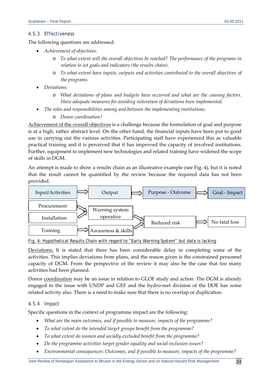## *4.5.3 Effectiveness*

The following questions are addressed:

- *Achievement of objectives:*
	- o *To what extent will the overall objectives be reached? The performance of the programs in relation to set goals and indicators (the results chain).*
	- o *To what extent have inputs, outputs and activities contributed to the overall objectives of the programs.*
- *Deviations:*
	- o *What deviations of plans and budgets have occurred and what are the causing factors. Have adequate measures for avoiding reiteration of deviations been implemented.*
- *The roles and responsibilities among and between the implementing institutions.*
	- o *Donor coordination?*

Achievement of the overall objectives is a challenge because the formulation of goal and purpose is at a high, rather abstract level. On the other hand, the financial inputs have been put to good use in carrying out the various activities. Participating staff have experienced this as valuable practical training and it is perceived that it has improved the capacity of involved institutions. Further, equipment to implement new technologies and related training have widened the scope of skills in DGM.

An attempt is made to show a results chain as an illustrative example (see Fig. 4), but it is noted that the result cannot be quantified by the review because the required data has not been provided.



#### Fig. 4: Hypothetical Results Chain with regard to "Early Warning System" but data is lacking

Deviations: It is stated that there has been considerable delay in completing some of the activities. This implies deviations from plans, and the reason given is the constrained personnel capacity of DGM. From the perspective of the review it may also be the case that too many activities had been planned.

Donor coordination may be an issue in relation to GLOF study and action. The DGM is already engaged in the issue with UNDP and GEF and the hydro‐met division of the DOE has some related activity also. There is a need to make sure that there is no overlap or duplication.

#### *4.5.4 Impact*

Specific questions in the context of programme impact are the following:

- *What are the main outcomes, and if possible to measure, impacts of the programme?*
- *To what extent do the intended target groups benefit from the programme?*
- *To what extent do women and socially excluded benefit from the programme?*
- *Do the programme activities target gender equality and social inclusion issues?*
- *Environmental consequences: Outcomes, and if possible to measure, impacts of the programme?*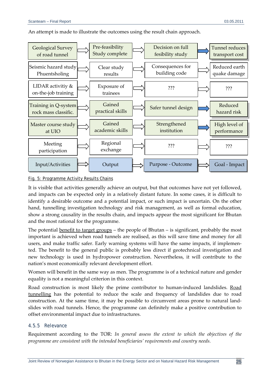

An attempt is made to illustrate the outcomes using the result chain approach.

#### Fig. 5: Programme Activity Results Chains

It is visible that activities generally achieve an output, but that outcomes have not yet followed, and impacts can be expected only in a relatively distant future. In some cases, it is difficult to identify a desirable outcome and a potential impact, or such impact is uncertain. On the other hand, tunnelling investigation technology and risk management, as well as formal education, show a strong causality in the results chain, and impacts appear the most significant for Bhutan and the most rational for the programme.

The potential benefit to target groups  $-$  the people of Bhutan  $-$  is significant, probably the most important is achieved when road tunnels are realised, as this will save time and money for all users, and make traffic safer. Early warning systems will have the same impacts, if implemen‐ ted. The benefit to the general public is probably less direct if geotechnical investigation and new technology is used in hydropower construction. Nevertheless, it will contribute to the nation's most economically relevant development effort.

Women will benefit in the same way as men. The programme is of a technical nature and gender equality is not a meaningful criterion in this context.

Road construction is most likely the prime contributor to human-induced landslides. Road tunnelling has the potential to reduce the scale and frequency of landslides due to road construction. At the same time, it may be possible to circumvent areas prone to natural landslides with road tunnels. Hence, the programme can definitely make a positive contribution to offset environmental impact due to infrastructures.

#### *4.5.5 Relevance*

Requirement according to the TOR: *In general assess the extent to which the objectives of the programme are consistent with the intended beneficiaries' requirements and country needs.*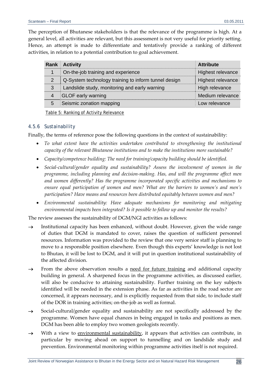The perception of Bhutanese stakeholders is that the relevance of the programme is high. At a general level, all activities are relevant, but this assessment is not very useful for priority setting. Hence, an attempt is made to differentiate and tentatively provide a ranking of different activities, in relation to a potential contribution to goal achievement.

|                | <b>Rank Activity</b>                                 | <b>Attribute</b>  |
|----------------|------------------------------------------------------|-------------------|
|                | On-the-job training and experience                   | Highest relevance |
| 2              | Q-System technology training to inform tunnel design | Highest relevance |
| 3              | Landslide study, monitoring and early warning        | High relevance    |
| $\overline{4}$ | <b>GLOF early warning</b>                            | Medium relevance  |
| 5              | Seismic zonation mapping                             | Low relevance     |

Table 5: Ranking of Activity Relevance

#### *4.5.6 Sustainability*

Finally, the terms of reference pose the following questions in the context of sustainability:

- *To what extent have the activities undertaken contributed to strengthening the institutional capacity of the relevant Bhutanese institutions and to make the institutions more sustainable?*
- *Capacity/competence building: The need for training/capacity building should be identified.*
- *Social‐cultural/gender equality and sustainability? Assess the involvement of women in the programme, including planning and decision‐making. Has, and will the programme affect men and women differently? Has the programme incorporated specific activities and mechanisms to ensure equal participation of women and men? What are the barriers to women's and men's participation? Have means and resources been distributed equitably between women and men?*
- *Environmental sustainability: Have adequate mechanisms for monitoring and mitigating environmental impacts been integrated? Is it possible to follow up and monitor the results?*

The review assesses the sustainability of DGM/NGI activities as follows:

- $\rightarrow$  Institutional capacity has been enhanced, without doubt. However, given the wide range of duties that DGM is mandated to cover, raises the question of sufficient personnel resources. Information was provided to the review that one very senior staff is planning to move to a responsible position elsewhere. Even though this experts' knowledge is not lost to Bhutan, it will be lost to DGM, and it will put in question institutional sustainability of the affected division.
- $\rightarrow$  From the above observation results a need for future training and additional capacity building in general. A sharpened focus in the programme activities, as discussed earlier, will also be conducive to attaining sustainability. Further training on the key subjects identified will be needed in the extension phase. As far as activities in the road sector are concerned, it appears necessary, and is explicitly requested from that side, to include staff of the DOR in training activities; on‐the‐job as well as formal.
- → Social-cultural/gender equality and sustainability are not specifically addressed by the programme. Women have equal chances in being engaged in tasks and positions as men. DGM has been able to employ two women geologists recently.
- $\rightarrow$  With a view to environmental sustainability, it appears that activities can contribute, in particular by moving ahead on support to tunnelling and on landslide study and prevention. Environmental monitoring within programme activities itself is not required.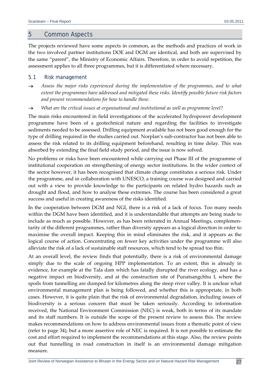## 5 Common Aspects

The projects reviewed have some aspects in common, as the methods and practices of work in the two involved partner institutions DOE and DGM are identical, and both are supervised by the same "parent", the Ministry of Economic Affairs. Therefore, in order to avoid repetition, the assessment applies to all three programmes, but it is differentiated where necessary.

#### 5.1 Risk management

- *Assess the major risks experienced during the implementation of the programmes, and to what extent the programmes have addressed and mitigated these risks. Identify possible future risk factors and present recommendations for how to handle these.*
- *What are the critical issues at organisational and institutional as well as programme level?*

The main risks encountered in field investigations of the accelerated hydropower development programme have been of a geotechnical nature and regarding the facilities to investigate sediments needed to be assessed. Drilling equipment available has not been good enough for the type of drilling required in the studies carried out. Norplan's sub‐contractor has not been able to assess the risk related to its drilling equipment beforehand, resulting in time delay. This was absorbed by extending the final field study period, and the issue is now solved.

No problems or risks have been encountered while carrying out Phase III of the programme of institutional cooperation on strengthening of energy sector institutions. In the wider context of the sector however, it has been recognised that climate change constitutes a serious risk. Under the programme, and in collaboration with UNESCO, a training course was designed and carried out with a view to provide knowledge to the participants on related hydro hazards such as drought and flood, and how to analyse these extremes. The course has been considered a great success and useful in creating awareness of the risks identified.

In the cooperation between DGM and NGI, there is a risk of a lack of focus. Too many needs within the DGM have been identified, and it is understandable that attempts are being made to include as much as possible. However, as has been reiterated in Annual Meetings, complementarity of the different programmes, rather than diversity appears as a logical direction in order to maximise the overall impact. Keeping this in mind eliminates the risk, and it appears as the logical course of action. Concentrating on fewer key activities under the programme will also alleviate the risk of a lack of sustainable staff resources, which tend to be spread too thin.

At an overall level, the review finds that potentially, there is a risk of environmental damage simply due to the scale of ongoing HPP implementation. To an extent, this is already in evidence, for example at the Tala dam which has fatally disrupted the river ecology, and has a negative impact on biodiversity, and at the construction site of Punatsangchhu I, where the spoils from tunnelling are dumped for kilometres along the steep river valley. It is unclear what environmental management plan is being followed, and whether this is appropriate, in both cases. However, it is quite plain that the risk of environmental degradation, including issues of biodiversity is a serious concern that must be taken seriously. According to information received, the National Environment Commission (NEC) is weak, both in terms of its mandate and its staff numbers. It is outside the scope of the present review to assess this. The review makes recommendations on how to address environmental issues from a thematic point of view (refer to page 34), but a more assertive role of NEC is required. It is not possible to estimate the cost and effort required to implement the recommendations at this stage. Also, the review points out that tunnelling in road construction in itself is an environmental damage mitigation measure.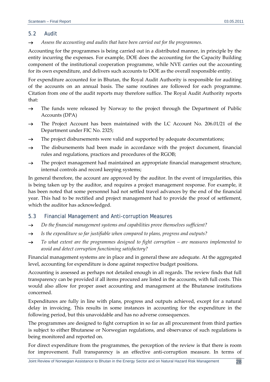## 5.2 Audit

*Assess the accounting and audits that have been carried out for the programmes.*

Accounting for the programmes is being carried out in a distributed manner, in principle by the entity incurring the expenses. For example, DOE does the accounting for the Capacity Building component of the institutional cooperation programme, while NVE carries out the accounting for its own expenditure, and delivers such accounts to DOE as the overall responsible entity.

For expenditure accounted for in Bhutan, the Royal Audit Authority is responsible for auditing of the accounts on an annual basis. The same routines are followed for each programme. Citation from one of the audit reports may therefore suffice. The Royal Audit Authority reports that:

- $\rightarrow$  The funds were released by Norway to the project through the Department of Public Accounts (DPA)
- → The Project Account has been maintained with the LC Account No. 206.01/21 of the Department under FIC No. 2325;
- $\rightarrow$  The project disbursements were valid and supported by adequate documentations;
- $\rightarrow$  The disbursements had been made in accordance with the project document, financial rules and regulations, practices and procedures of the RGOB;
- $\rightarrow$  The project management had maintained an appropriate financial management structure, internal controls and record keeping systems;

In general therefore, the account are approved by the auditor. In the event of irregularities, this is being taken up by the auditor, and requires a project management response. For example, it has been noted that some personnel had not settled travel advances by the end of the financial year. This had to be rectified and project management had to provide the proof of settlement, which the auditor has acknowledged.

## 5.3 Financial Management and Anti-corruption Measures

- *Do the financial management systems and capabilities prove themselves sufficient?*
- *Is the expenditure so far justifiable when compared to plans, progress and outputs?*
- *To what extent are the programmes designed to fight corruption – are measures implemented to avoid and detect corruption functioning satisfactory?*

Financial management systems are in place and in general these are adequate. At the aggregated level, accounting for expenditure is done against respective budget positions.

Accounting is assessed as perhaps not detailed enough in all regards. The review finds that full transparency can be provided if all items procured are listed in the accounts, with full costs. This would also allow for proper asset accounting and management at the Bhutanese institutions concerned.

Expenditures are fully in line with plans, progress and outputs achieved, except for a natural delay in invoicing. This results in some instances in accounting for the expenditure in the following period, but this unavoidable and has no adverse consequences.

The programmes are designed to fight corruption in so far as all procurement from third parties is subject to either Bhutanese or Norwegian regulations, and observance of such regulations is being monitored and reported on.

For direct expenditure from the programmes, the perception of the review is that there is room for improvement. Full transparency is an effective anti-corruption measure. In terms of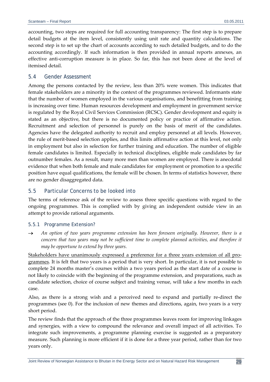accounting, two steps are required for full accounting transparency: The first step is to prepare detail budgets at the item level, consistently using unit rate and quantity calculations. The second step is to set up the chart of accounts according to such detailed budgets, and to do the accounting accordingly. If such information is then provided in annual reports annexes, an effective anti-corruption measure is in place. So far, this has not been done at the level of itemised detail.

## 5.4 Gender Assessment

Among the persons contacted by the review, less than 20% were women. This indicates that female stakeholders are a minority in the context of the programmes reviewed. Informants state that the number of women employed in the various organisations, and benefitting from training is increasing over time. Human resources development and employment in government service is regulated by the Royal Civil Services Commission (RCSC). Gender development and equity is stated as an objective, but there is no documented policy or practice of affirmative action. Recruitment and selection of personnel is purely on the basis of merit of the candidates. Agencies have the delegated authority to recruit and employ personnel at all levels. However, the rule of merit‐based selection applies, and this limits affirmative action at this level, not only in employment but also in selection for further training and education. The number of eligible female candidates is limited. Especially in technical disciplines, eligible male candidates by far outnumber females. As a result, many more men than women are employed. There is anecdotal evidence that when both female and male candidates for employment or promotion to a specific position have equal qualifications, the female will be chosen. In terms of statistics however, there are no gender disaggregated data.

## 5.5 Particular Concerns to be looked into

The terms of reference ask of the review to assess three specific questions with regard to the ongoing programmes. This is complied with by giving an independent outside view in an attempt to provide rational arguments.

#### *5.5.1 Programme Extension?*

 *An option of two years programme extension has been foreseen originally. However, there is a concern that two years may not be sufficient time to complete planned activities, and therefore it may be opportune to extend by three years.*

Stakeholders have unanimously expressed a preference for a three years extension of all programmes. It is felt that two years is a period that is very short. In particular, it is not possible to complete 24 months master's courses within a two years period as the start date of a course is not likely to coincide with the beginning of the programme extension, and preparations, such as candidate selection, choice of course subject and training venue, will take a few months in each case.

Also, as there is a strong wish and a perceived need to expand and partially re‐direct the programmes (see 0). For the inclusion of new themes and directions, again, two years is a very short period.

The review finds that the approach of the three programmes leaves room for improving linkages and synergies, with a view to compound the relevance and overall impact of all activities. To integrate such improvements, a programme planning exercise is suggested as a preparatory measure. Such planning is more efficient if it is done for a three year period, rather than for two years only.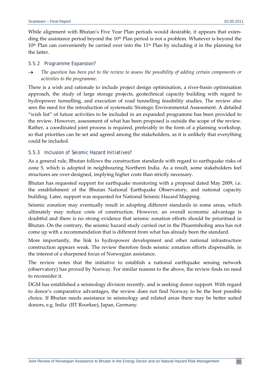While alignment with Bhutan's Five Year Plan periods would desirable, it appears that extending the assistance period beyond the  $10<sup>th</sup>$  Plan period is not a problem. Whatever is beyond the  $10<sup>th</sup>$  Plan can conveniently be carried over into the  $11<sup>th</sup>$  Plan by including it in the planning for the latter.

#### *5.5.2 Programme Expansion?*

 *The question has been put to the review to assess the possibility of adding certain components or activities to the programme.*

There is a wish and rationale to include project design optimisation, a river-basin optimisation approach, the study of large storage projects, geotechnical capacity building with regard to hydropower tunnelling, and execution of road tunnelling feasibility studies. The review also sees the need for the introduction of systematic Strategic Environmental Assessment. A detailed "wish list" of future activities to be included in an expanded programme has been provided to the review. However, assessment of what has been proposed is outside the scope of the review. Rather, a coordinated joint process is required, preferably in the form of a planning workshop, so that priorities can be set and agreed among the stakeholders, as it is unlikely that everything could be included.

#### *5.5.3 Inclusion of Seismic Hazard Initiatives?*

As a general rule, Bhutan follows the construction standards with regard to earthquake risks of zone 5, which is adopted in neighbouring Northern India. As a result, some stakeholders feel structures are over-designed, implying higher costs than strictly necessary.

Bhutan has requested support for earthquake monitoring with a proposal dated May 2009, i.e. the establishment of the Bhutan National Earthquake Observatory, and national capacity building. Later, support was requested for National Seismic Hazard Mapping.

Seismic zonation may eventually result in adopting different standards in some areas, which ultimately may reduce costs of construction. However, an overall economic advantage is doubtful and there is no strong evidence that seismic zonation efforts should be prioritised in Bhutan. On the contrary, the seismic hazard study carried out in the Phuentsholing area has not come up with a recommendation that is different from what has already been the standard.

More importantly, the link to hydropower development and other national infrastructure construction appears weak. The review therefore finds seismic zonation efforts dispensable, in the interest of a sharpened focus of Norwegian assistance.

The review notes that the initiative to establish a national earthquake sensing network (observatory) has proved by Norway. For similar reasons to the above, the review finds no need to reconsider it.

DGM has established a seismology division recently, and is seeking donor support. With regard to donor's comparative advantages, the review does not find Norway to be the best possible choice. If Bhutan needs assistance in seismology and related areas there may be better suited donors, e.g. India (IIT Roorkee), Japan, Germany.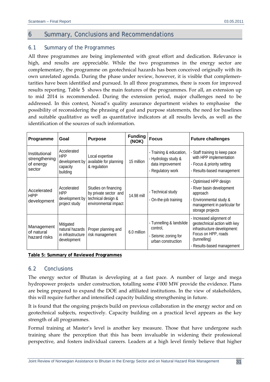# 6 Summary, Conclusions and Recommendations

## 6.1 Summary of the Programmes

All three programmes are being implemented with great effort and dedication. Relevance is high, and results are appreciable. While the two programmes in the energy sector are complementary, the programme on geotechnical hazards has been conceived originally with its own unrelated agenda. During the phase under review, however, it is visible that complemen‐ tarities have been identified and pursued. In all three programmes, there is room for improved results reporting. Table 5 shows the main features of the programmes. For all, an extension up to mid 2014 is recommended. During the extension period, major challenges need to be addressed. In this context, Norad's quality assurance department wishes to emphasise the possibility of reconsidering the phrasing of goal and purpose statements, the need for baselines and suitable qualitative as well as quantitative indicators at all results levels, as well as the identification of the sources of such information.

| Programme                                             | Goal                                                                | <b>Purpose</b>                                                                              | <b>Funding</b><br>(NOK) | <b>Focus</b>                                                                            | <b>Future challenges</b>                                                                                                                                   |
|-------------------------------------------------------|---------------------------------------------------------------------|---------------------------------------------------------------------------------------------|-------------------------|-----------------------------------------------------------------------------------------|------------------------------------------------------------------------------------------------------------------------------------------------------------|
| Institutional<br>strengthening<br>of energy<br>sector | Accelerated<br><b>HPP</b><br>development by<br>capacity<br>building | Local expertise<br>available for planning<br>& regulation                                   | 15 million              | - Training & education,<br>- Hydrology study &<br>data improvement<br>- Regulatory work | - Staff training to keep pace<br>with HPP implementation<br>- Focus & priority setting<br>- Results-based management                                       |
| Accelerated<br><b>HPP</b><br>development              | Accelerated<br><b>HPP</b><br>development by<br>project study        | Studies on financing<br>by private sector and<br>technical design &<br>environmental impact | 14.98 mill              | - Technical study<br>- On-the-job training                                              | - Optimised HPP design<br>River basin development<br>approach<br>Environmental study &<br>management in particular for<br>storage projects                 |
| Management<br>of natural<br>hazard risks              | Mitigated<br>natural hazards<br>in infrastructure<br>development    | Proper planning and<br>risk management                                                      | 6.0 million             | - Tunnelling & landslide<br>control,<br>- Seismic zoning for<br>urban construction      | - Increased alignment of<br>geotechnical action with key<br>infrastructure development:<br>Focus on HPP, roads<br>(tunnelling)<br>Results-based management |

**Table 5: Summary of Reviewed Programmes**

## 6.2 Conclusions

The energy sector of Bhutan is developing at a fast pace. A number of large and mega hydropower projects under construction, totalling some 4'000 MW provide the evidence. Plans are being prepared to expand the DOE and affiliated institutions. In the view of stakeholders, this will require further and intensified capacity building strengthening in future.

It is found that the ongoing projects build on previous collaboration in the energy sector and on geotechnical subjects, respectively. Capacity building on a practical level appears as the key strength of all programmes.

Formal training at Master's level is another key measure. Those that have undergone such training share the perception that this has been invaluable in widening their professional perspective, and fosters individual careers. Leaders at a high level firmly believe that higher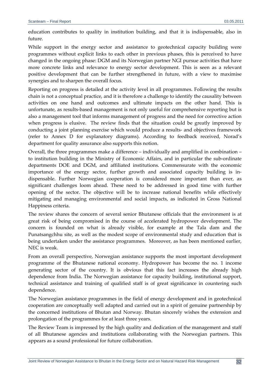education contributes to quality in institution building, and that it is indispensable, also in future.

While support in the energy sector and assistance to geotechnical capacity building were programmes without explicit links to each other in previous phases, this is perceived to have changed in the ongoing phase: DGM and its Norwegian partner NGI pursue activities that have more concrete links and relevance to energy sector development. This is seen as a relevant positive development that can be further strengthened in future, with a view to maximise synergies and to sharpen the overall focus.

Reporting on progress is detailed at the activity level in all programmes. Following the results chain is not a conceptual practice, and it is therefore a challenge to identify the causality between activities on one hand and outcomes and ultimate impacts on the other hand. This is unfortunate, as results‐based management is not only useful for comprehensive reporting but is also a management tool that informs management of progress and the need for corrective action when progress is elusive. The review finds that the situation could be greatly improved by conducting a joint planning exercise which would produce a results‐ and objectives framework (refer to Annex D for explanatory diagrams). According to feedback received, Norad's department for quality assurance also supports this notion.

Overall, the three programmes make a difference – individually and amplified in combination – to institution building in the Ministry of Economic Affairs, and in particular the sub‐ordinate departments DOE and DGM, and affiliated institutions. Commensurate with the economic importance of the energy sector, further growth and associated capacity building is indispensable. Further Norwegian cooperation is considered more important than ever, as significant challenges loom ahead. These need to be addressed in good time with further opening of the sector. The objective will be to increase national benefits while effectively mitigating and managing environmental and social impacts, as indicated in Gross National Happiness criteria.

The review shares the concern of several senior Bhutanese officials that the environment is at great risk of being compromised in the course of accelerated hydropower development. The concern is founded on what is already visible, for example at the Tala dam and the Punatsangchhu site, as well as the modest scope of environmental study and education that is being undertaken under the assistance programmes. Moreover, as has been mentioned earlier, NEC is weak.

From an overall perspective, Norwegian assistance supports the most important development programme of the Bhutanese national economy. Hydropower has become the no. 1 income generating sector of the country. It is obvious that this fact increases the already high dependence from India. The Norwegian assistance for capacity building, institutional support, technical assistance and training of qualified staff is of great significance in countering such dependence.

The Norwegian assistance programmes in the field of energy development and in geotechnical cooperation are conceptually well adapted and carried out in a spirit of genuine partnership by the concerned institutions of Bhutan and Norway. Bhutan sincerely wishes the extension and prolongation of the programmes for at least three years.

The Review Team is impressed by the high quality and dedication of the management and staff of all Bhutanese agencies and institutions collaborating with the Norwegian partners. This appears as a sound professional for future collaboration.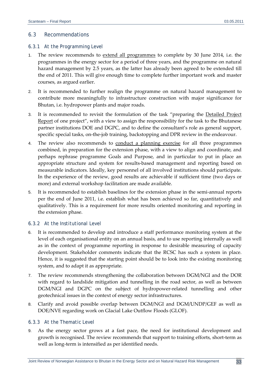#### 6.3 Recommendations

#### *6.3.1 At the Programming Level*

- 1. The review recommends to <u>extend all programmes</u> to complete by 30 June 2014, i.e. the programmes in the energy sector for a period of three years, and the programme on natural hazard management by 2.5 years, as the latter has already been agreed to be extended till the end of 2011. This will give enough time to complete further important work and master courses, as argued earlier.
- 2. It is recommended to further realign the programme on natural hazard management to contribute more meaningfully to infrastructure construction with major significance for Bhutan, i.e. hydropower plants and major roads.
- 3. It is recommended to revisit the formulation of the task "preparing the Detailed Project Report of one project", with a view to assign the responsibility for the task to the Bhutanese partner institutions DOE and DGPC, and to define the consultant's role as general support, specific special tasks, on-the-job training, backstopping and DPR review in the endeavour.
- 4. The review also recommends to conduct a planning exercise for all three programmes combined, in preparation for the extension phase, with a view to align and coordinate, and perhaps rephrase programme Goals and Purpose, and in particular to put in place an appropriate structure and system for results‐based management and reporting based on measurable indicators. Ideally, key personnel of all involved institutions should participate. In the experience of the review, good results are achievable if sufficient time (two days or more) and external workshop facilitation are made available.
- 5. It is recommended to establish baselines for the extension phase in the semi-annual reports per the end of June 2011, i.e. establish what has been achieved so far, quantitatively and qualitatively. This is a requirement for more results oriented monitoring and reporting in the extension phase.

#### *6.3.2 At the Institutional Level*

- 6. It is recommended to develop and introduce a staff performance monitoring system at the level of each organisational entity on an annual basis, and to use reporting internally as well as in the context of programme reporting in response to desirable measuring of capacity development. Stakeholder comments indicate that the RCSC has such a system in place. Hence, it is suggested that the starting point should be to look into the existing monitoring system, and to adapt it as appropriate.
- 7. The review recommends strengthening the collaboration between DGM/NGI and the DOR with regard to landslide mitigation and tunnelling in the road sector, as well as between DGM/NGI and DGPC on the subject of hydropower-related tunnelling and other geotechnical issues in the context of energy sector infrastructures.
- 8. Clarify and avoid possible overlap between DGM/NGI and DGM/UNDP/GEF as well as DOE/NVE regarding work on Glacial Lake Outflow Floods (GLOF).

#### *6.3.3 At the Thematic Level*

9. As the energy sector grows at a fast pace, the need for institutional development and growth is recognised. The review recommends that support to training efforts, short‐term as well as long‐term is intensified as per identified needs.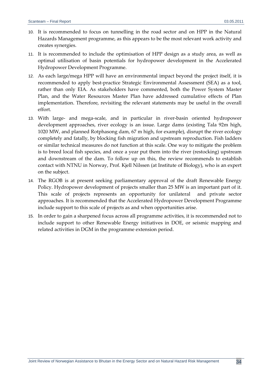- 10. It is recommended to focus on tunnelling in the road sector and on HPP in the Natural Hazards Management programme, as this appears to be the most relevant work activity and creates synergies.
- 11. It is recommended to include the optimisation of HPP design as a study area, as well as optimal utilisation of basin potentials for hydropower development in the Accelerated Hydropower Development Programme.
- 12. As each large/mega HPP will have an environmental impact beyond the project itself, it is recommended to apply best-practice Strategic Environmental Assessment (SEA) as a tool, rather than only EIA. As stakeholders have commented, both the Power System Master Plan, and the Water Resources Master Plan have addressed cumulative effects of Plan implementation. Therefore, revisiting the relevant statements may be useful in the overall effort.
- 13. With large- and mega-scale, and in particular in river-basin oriented hydropower development approaches, river ecology is an issue. Large dams (existing Tala 92m high, 1020 MW, and planned Rotphasong dam, 67 m high, for example), disrupt the river ecology completely and fatally, by blocking fish migration and upstream reproduction. Fish ladders or similar technical measures do not function at this scale. One way to mitigate the problem is to breed local fish species, and once a year put them into the river (restocking) upstream and downstream of the dam. To follow up on this, the review recommends to establish contact with NTNU in Norway, Prof. Kjell Nilssen (at Institute of Biology), who is an expert on the subject.
- 14. The RGOB is at present seeking parliamentary approval of the draft Renewable Energy Policy. Hydropower development of projects smaller than 25 MW is an important part of it. This scale of projects represents an opportunity for unilateral and private sector approaches. It is recommended that the Accelerated Hydropower Development Programme include support to this scale of projects as and when opportunities arise.
- 15. In order to gain a sharpened focus across all programme activities, it is recommended not to include support to other Renewable Energy initiatives in DOE, or seismic mapping and related activities in DGM in the programme extension period.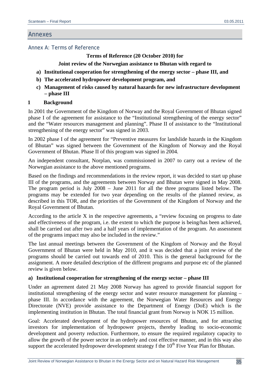#### Annexes

#### Annex A: Terms of Reference

#### **Terms of Reference (20 October 2010) for**

## **Joint review of the Norwegian assistance to Bhutan with regard to**

- **a) Institutional cooperation for strengthening of the energy sector phase III, and**
- **b) The accelerated hydropower development program, and**
- **c) Management of risks caused by natural hazards for new infrastructure development – phase III**

#### **1 Background**

In 2001 the Government of the Kingdom of Norway and the Royal Government of Bhutan signed phase I of the agreement for assistance to the "Institutional strengthening of the energy sector" and the "Water resources management and planning". Phase II of assistance to the "Institutional strengthening of the energy sector" was signed in 2003.

In 2002 phase I of the agreement for "Preventive measures for landslide hazards in the Kingdom of Bhutan" was signed between the Government of the Kingdom of Norway and the Royal Government of Bhutan. Phase II of this program was signed in 2004.

An independent consultant, Norplan, was commissioned in 2007 to carry out a review of the Norwegian assistance to the above mentioned programs.

Based on the findings and recommendations in the review report, it was decided to start up phase III of the programs, and the agreements between Norway and Bhutan were signed in May 2008. The program period is July 2008 – June 2011 for all the three programs listed below. The programs may be extended for two year depending on the results of the planned review, as described in this TOR, and the priorities of the Government of the Kingdom of Norway and the Royal Government of Bhutan.

According to the article X in the respective agreements, a "review focusing on progress to date and effectiveness of the program, i.e. the extent to which the purpose is being/has been achieved, shall be carried out after two and a half years of implementation of the program. An assessment of the programs impact may also be included in the review."

The last annual meetings between the Government of the Kingdom of Norway and the Royal Government of Bhutan were held in May 2010, and it was decided that a joint review of the programs should be carried out towards end of 2010. This is the general background for the assignment. A more detailed description of the different programs and purpose etc of the planned review is given below.

#### **a) Institutional cooperation for strengthening of the energy sector – phase III**

Under an agreement dated 21 May 2008 Norway has agreed to provide financial support for institutional strengthening of the energy sector and water resource management for planning – phase III. In accordance with the agreement, the Norwegian Water Resources and Energy Directorate (NVE) provide assistance to the Department of Energy (DoE) which is the implementing institution in Bhutan. The total financial grant from Norway is NOK 15 million.

Goal: Accelerated development of the hydropower resources of Bhutan, and for attracting investors for implementation of hydropower projects, thereby leading to socio-economic development and poverty reduction. Furthermore, to ensure the required regulatory capacity to allow the growth of the power sector in an orderly and cost effective manner, and in this way also support the accelerated hydropower development strategy f the 10<sup>th</sup> Five Year Plan for Bhutan.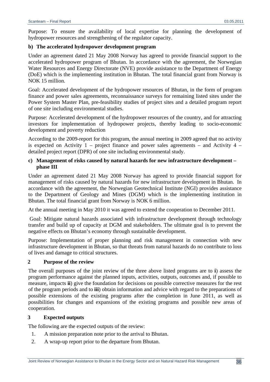Purpose: To ensure the availability of local expertise for planning the development of hydropower resources and strengthening of the regulator capacity.

## **b) The accelerated hydropower development program**

Under an agreement dated 21 May 2008 Norway has agreed to provide financial support to the accelerated hydropower program of Bhutan. In accordance with the agreement, the Norwegian Water Resources and Energy Directorate (NVE) provide assistance to the Department of Energy (DoE) which is the implementing institution in Bhutan. The total financial grant from Norway is NOK 15 million.

Goal: Accelerated development of the hydropower resources of Bhutan, in the form of program finance and power sales agreements, reconnaissance surveys for remaining listed sites under the Power System Master Plan, pre-feasibility studies of project sites and a detailed program report of one site including environmental studies.

Purpose: Accelerated development of the hydropower resources of the country, and for attracting investors for implementation of hydropower projects, thereby leading to socio-economic development and poverty reduction

According to the 2009-report for this program, the annual meeting in 2009 agreed that no activity is expected on Activity 1 – project finance and power sales agreements – and Activity 4 – detailed project report (DPR) of one site including environmental study.

## **c) Management of risks caused by natural hazards for new infrastructure development – phase III**

Under an agreement dated 21 May 2008 Norway has agreed to provide financial support for management of risks caused by natural hazards for new infrastructure development in Bhutan. In accordance with the agreement, the Norwegian Geotechnical Institute (NGI) provides assistance to the Department of Geology and Mines (DGM) which is the implementing institution in Bhutan. The total financial grant from Norway is NOK 6 million.

At the annual meeting in May 2010 it was agreed to extend the cooperation to December 2011.

 Goal: Mitigate natural hazards associated with infrastructure development through technology transfer and build up of capacity at DGM and stakeholders. The ultimate goal is to prevent the negative effects on Bhutan's economy through sustainable development.

Purpose: Implementation of proper planning and risk management in connection with new infrastructure development in Bhutan, so that threats from natural hazards do no contribute to loss of lives and damage to critical structures.

#### **2 Purpose of the review**

The overall purposes of the joint review of the three above listed programs are to **i**) assess the program performance against the planned inputs, activities, outputs, outcomes and, if possible to measure, impacts **ii**) give the foundation for decisions on possible corrective measures for the rest of the program periods and to **iii**) obtain information and advice with regard to the preparations of possible extensions of the existing programs after the completion in June 2011, as well as possibilities for changes and expansions of the existing programs and possible new areas of cooperation.

#### **3 Expected outputs**

The following are the expected outputs of the review:

- 1. A mission preparation note prior to the arrival to Bhutan.
- 2. A wrap-up report prior to the departure from Bhutan.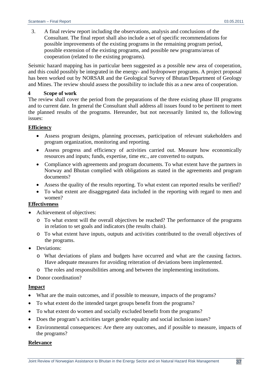3. A final review report including the observations, analysis and conclusions of the Consultant. The final report shall also include a set of specific recommendations for possible improvements of the existing programs in the remaining program period, possible extension of the existing programs, and possible new programs/areas of cooperation (related to the existing programs).

Seismic hazard mapping has in particular been suggested as a possible new area of cooperation, and this could possibly be integrated in the energy- and hydropower programs. A project proposal has been worked out by NORSAR and the Geological Survey of Bhutan/Department of Geology and Mines. The review should assess the possibility to include this as a new area of cooperation.

#### **4 Scope of work**

The review shall cover the period from the preparations of the three existing phase III programs and to current date. In general the Consultant shall address all issues found to be pertinent to meet the planned results of the programs. Hereunder, but not necessarily limited to, the following issues:

#### **Efficiency**

- Assess program designs, planning processes, participation of relevant stakeholders and program organization, monitoring and reporting.
- Assess progress and efficiency of activities carried out. Measure how economically resources and inputs; funds, expertise, time etc., are converted to outputs.
- Compliance with agreements and program documents. To what extent have the partners in Norway and Bhutan complied with obligations as stated in the agreements and program documents?
- Assess the quality of the results reporting. To what extent can reported results be verified?
- To what extent are disaggregated data included in the reporting with regard to men and women?

## **Effectiveness**

- Achievement of objectives:
	- o To what extent will the overall objectives be reached? The performance of the programs in relation to set goals and indicators (the results chain).
	- o To what extent have inputs, outputs and activities contributed to the overall objectives of the programs.
- Deviations:
	- o What deviations of plans and budgets have occurred and what are the causing factors. Have adequate measures for avoiding reiteration of deviations been implemented.
	- o The roles and responsibilities among and between the implementing institutions.
- Donor coordination?

#### **Impact**

- What are the main outcomes, and if possible to measure, impacts of the programs?
- To what extent do the intended target groups benefit from the programs?
- To what extent do women and socially excluded benefit from the programs?
- Does the program's activities target gender equality and social inclusion issues?
- Environmental consequences: Are there any outcomes, and if possible to measure, impacts of the programs?

#### **Relevance**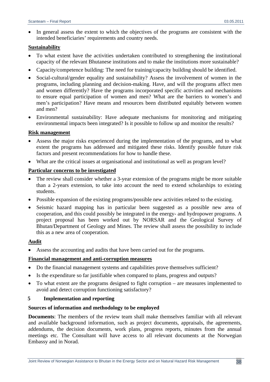In general assess the extent to which the objectives of the programs are consistent with the intended beneficiaries' requirements and country needs.

#### **Sustainability**

- To what extent have the activities undertaken contributed to strengthening the institutional capacity of the relevant Bhutanese institutions and to make the institutions more sustainable?
- Capacity/competence building: The need for training/capacity building should be identified.
- Social-cultural/gender equality and sustainability? Assess the involvement of women in the programs, including planning and decision-making. Have, and will the programs affect men and women differently? Have the programs incorporated specific activities and mechanisms to ensure equal participation of women and men? What are the barriers to women's and men's participation? Have means and resources been distributed equitably between women and men?
- Environmental sustainability: Have adequate mechanisms for monitoring and mitigating environmental impacts been integrated? Is it possible to follow up and monitor the results?

#### **Risk management**

- Assess the major risks experienced during the implementation of the programs, and to what extent the programs has addressed and mitigated these risks. Identify possible future risk factors and present recommendations for how to handle these.
- What are the critical issues at organisational and institutional as well as program level?

#### **Particular concerns to be investigated**

- The review shall consider whether a 3-year extension of the programs might be more suitable than a 2-years extension, to take into account the need to extend scholarships to existing students.
- Possible expansion of the existing programs/possible new activities related to the existing.
- Seismic hazard mapping has in particular been suggested as a possible new area of cooperation, and this could possibly be integrated in the energy- and hydropower programs. A project proposal has been worked out by NORSAR and the Geological Survey of Bhutan/Department of Geology and Mines. The review shall assess the possibility to include this as a new area of cooperation.

#### **Audit**

Assess the accounting and audits that have been carried out for the programs.

#### **Financial management and anti-corruption measures**

- Do the financial management systems and capabilities prove themselves sufficient?
- Is the expenditure so far justifiable when compared to plans, progress and outputs?
- To what extent are the programs designed to fight corruption are measures implemented to avoid and detect corruption functioning satisfactory?

#### **5 Implementation and reporting**

#### **Sources of information and methodology to be employed**

**Documents**: The members of the review team shall make themselves familiar with all relevant and available background information, such as project documents, appraisals, the agreements, addendums, the decision documents, work plans, progress reports, minutes from the annual meetings etc. The Consultant will have access to all relevant documents at the Norwegian Embassy and in Norad.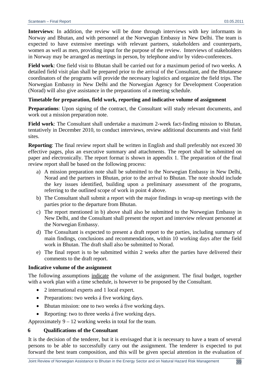**Interviews**: In addition, the review will be done through interviews with key informants in Norway and Bhutan, and with personnel at the Norwegian Embassy in New Delhi. The team is expected to have extensive meetings with relevant partners, stakeholders and counterparts, women as well as men, providing input for the purpose of the review. Interviews of stakeholders in Norway may be arranged as meetings in person, by telephone and/or by video-conferences.

**Field work**: One field visit to Bhutan shall be carried out for a maximum period of two weeks. A detailed field visit plan shall be prepared prior to the arrival of the Consultant, and the Bhutanese coordinators of the programs will provide the necessary logistics and organize the field trips. The Norwegian Embassy in New Delhi and the Norwegian Agency for Development Cooperation (Norad) will also give assistance in the preparations of a meeting schedule.

## **Timetable for preparation, field work, reporting and indicative volume of assignment**

**Preparations**: Upon signing of the contract, the Consultant will study relevant documents, and work out a mission preparation note.

**Field work**: The Consultant shall undertake a maximum 2-week fact-finding mission to Bhutan, tentatively in December 2010, to conduct interviews, review additional documents and visit field sites.

**Reporting**: The final review report shall be written in English and shall preferably not exceed 30 effective pages, plus an executive summary and attachments. The report shall be submitted on paper and electronically. The report format is shown in appendix 1. The preparation of the final review report shall be based on the following process:

- a) A mission preparation note shall be submitted to the Norwegian Embassy in New Delhi, Norad and the partners in Bhutan, prior to the arrival to Bhutan. The note should include the key issues identified, building upon a preliminary assessment of the programs, referring to the outlined scope of work in point 4 above.
- b) The Consultant shall submit a report with the major findings in wrap-up meetings with the parties prior to the departure from Bhutan.
- c) The report mentioned in b) above shall also be submitted to the Norwegian Embassy in New Delhi, and the Consultant shall present the report and interview relevant personnel at the Norwegian Embassy.
- d) The Consultant is expected to present a draft report to the parties, including summary of main findings, conclusions and recommendations, within 10 working days after the field work in Bhutan. The draft shall also be submitted to Norad.
- e) The final report is to be submitted within 2 weeks after the parties have delivered their comments to the draft report.

#### **Indicative volume of the assignment**

The following assumptions indicate the volume of the assignment. The final budget, together with a work plan with a time schedule, is however to be proposed by the Consultant.

- 2 international experts and 1 local expert.
- Preparations: two weeks á five working days.
- Bhutan mission: one to two weeks á five working days.
- Reporting: two to three weeks á five working days.

Approximately  $9 - 12$  working weeks in total for the team.

#### **6 Qualifications of the Consultant**

It is the decision of the tenderer, but it is envisaged that it is necessary to have a team of several persons to be able to successfully carry out the assignment. The tenderer is expected to put forward the best team composition, and this will be given special attention in the evaluation of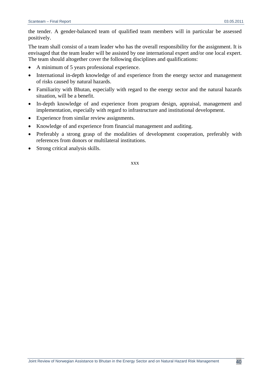the tender. A gender-balanced team of qualified team members will in particular be assessed positively.

The team shall consist of a team leader who has the overall responsibility for the assignment. It is envisaged that the team leader will be assisted by one international expert and/or one local expert. The team should altogether cover the following disciplines and qualifications:

- A minimum of 5 years professional experience.
- International in-depth knowledge of and experience from the energy sector and management of risks caused by natural hazards.
- Familiarity with Bhutan, especially with regard to the energy sector and the natural hazards situation, will be a benefit.
- In-depth knowledge of and experience from program design, appraisal, management and implementation, especially with regard to infrastructure and institutional development.
- Experience from similar review assignments.
- Knowledge of and experience from financial management and auditing.
- Preferably a strong grasp of the modalities of development cooperation, preferably with references from donors or multilateral institutions.
- Strong critical analysis skills.

xxx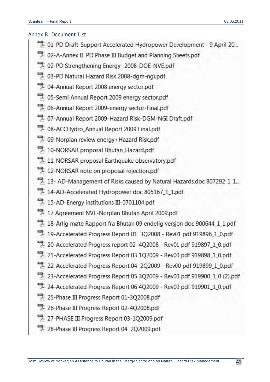## Annex B: Document List

- <sup>-7</sup> 01-PD Draft-Support Accelerated Hydropower Development 9 April 20...
- 4. 02-A-Annex II PD Phase III Budget and Planning Sheets.pdf
- D2-PD Strengthening Energy- 2008-DOE-NVE.pdf
- 1. 03-PD Natural Hazard Risk 2008-dgm-ngi.pdf
- 4 04-Annual Report 2008 energy sector.pdf
- 1. 05-Semi Annual Report 2009 energy sector.pdf
- <sup>9</sup> 06-Annual Report 2009-energy sector-Final.pdf
- <sup>4</sup> 07-Annual Report 2009-Hazard Risk-DGM-NGI Draft.pdf
- DB-ACCHydro\_Annual Report 2009 Final.pdf
- 7 09-Norplan review energy+Hazard Risk.pdf
- 10-NORSAR proposal Bhutan\_Hazard.pdf
- 411-NORSAR proposal Earthquake observatory.pdf
- 412-NORSAR note on proposal rejection.pdf
- 13- AD-Management of Risks caused by Natural Hazards.doc 807292\_1\_1...
- 4.4-AD-Accelerated Hydropower doc 805167\_1\_1.pdf
- <sup>-</sup> 15-AD-Energy institutions III-0701104.pdf
- 17 Agreement NVE-Norplan Bhutan April 2009.pdf
- 18-Arlig møte Rapport fra Bhutan 09 endelig versjon doc 900644\_1\_1.pdf
- 19-Accelerated Progress Report 01 3Q2008 Rev01 pdf 919896\_1\_0.pdf
- 20-Accelerated Progress report 02 4Q2008 Rev01 pdf 919897\_1\_0.pdf
- 21-Accelerated Progress Report 03 1Q2009 Rev00 pdf 919898 1 0.pdf
- 22-Accelerated Progress Report 04 2Q2009 Rev00 pdf 919899 1 0.pdf
- 23-Accelerated Progress Report 05 3Q2009 Rev00 pdf 919900\_1\_0 (2).pdf
- 24-Accelerated Progress Report 06 4Q2009 Rev00 pdf 919901\_1\_0.pdf
- 25-Phase III Progress Report 01-3Q2008.pdf
- 26-Phase III Progress Report 02-4Q2008.pdf
- 27-PHASE III Progress Report 03-1Q2009.pdf
- 28-Phase III Progress Report 04 2Q2009.pdf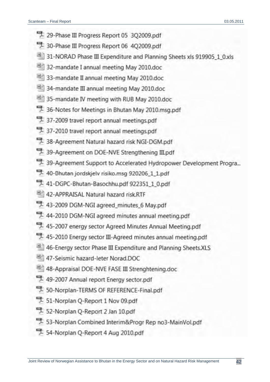- 29-Phase III Progress Report 05 3Q2009.pdf
- 30-Phase III Progress Report 06 4Q2009.pdf
- 31-NORAD Phase III Expenditure and Planning Sheets xls 919905\_1\_0.xls
- 32-mandate I annual meeting May 2010.doc
- 33-mandate II annual meeting May 2010.doc
- 34-mandate III annual meeting May 2010.doc
- 35-mandate IV meeting with RUB May 2010.doc
- 36-Notes for Meetings in Bhutan May 2010 msg.pdf
- 37-2009 travel report annual meetings.pdf
- 37-2010 travel report annual meetings.pdf
- 38-Agreement Natural hazard risk NGI-DGM.pdf
- 39-Agreement on DOE-NVE Strengthening III.pdf
- 39-Agreement Support to Accelerated Hydropower Development Progra...
- 40-Bhutan jordskjelv risiko.msg 920206\_1\_1.pdf
- 41-DGPC-Bhutan-Basochhu.pdf 922351\_1\_0.pdf
- 42-APPRAISAL Natural hazard risk.RTF
- 43-2009 DGM-NGI agreed\_minutes\_6 May.pdf
- 44-2010 DGM-NGI agreed minutes annual meeting.pdf
- 45-2007 energy sector Agreed Minutes Annual Meeting.pdf
- 45-2010 Energy sector III-Agreed minutes annual meeting.pdf
- 46-Energy sector Phase III Expenditure and Planning Sheets.XLS
- 47-Seismic hazard-leter Norad.DOC
- 48-Appraisal DOE-NVE FASE III Strenghtening.doc
- 49-2007 Annual report Energy sector.pdf
- 50-Norplan-TERMS OF REFERENCE-Final.pdf
- 51-Norplan Q-Report 1 Nov 09.pdf
- 52-Norplan Q-Report 2 Jan 10.pdf
- 53-Norplan Combined Interim&Progr Rep no3-MainVol.pdf
- 54-Norplan Q-Report 4 Aug 2010.pdf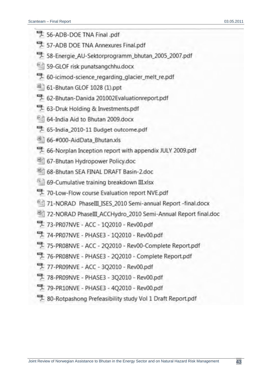- 56-ADB-DOE TNA Final .pdf
- 57-ADB DOE TNA Annexures Final.pdf
- 58-Energie\_AU-Sektorprogramm\_bhutan\_2005\_2007.pdf
- 59-GLOF risk punatsangchhu.docx
- <sup>4</sup> 60-icimod-science regarding glacier melt re.pdf
- 61-Bhutan GLOF 1028 (1).ppt
- 62-Bhutan-Danida 201002Evaluationreport.pdf
- <sup>9</sup> 63-Druk Holding & Investments.pdf
- 64-India Aid to Bhutan 2009.docx
- 55-India 2010-11 Budget outcome.pdf
- 66-#000-AidData Bhutan.xls
- 5 66-Norplan Inception report with appendix JULY 2009.pdf
- 67-Bhutan Hydropower Policy.doc
- 68-Bhutan SEA FINAL DRAFT Basin-2.doc
- 69-Cumulative training breakdown III.xlsx
- 70-Low-Flow course Evaluation report NVE.pdf
- 71-NORAD PhaseIII ISES 2010 Semi-annual Report -final.docx
- 72-NORAD PhaseIII ACCHydro 2010 Semi-Annual Report final.doc
- 73-PR07NVE ACC 1Q2010 Rev00.pdf
- 74-PR07NVE PHASE3 1Q2010 Rev00.pdf
- 75-PR08NVE ACC 2Q2010 Rev00-Complete Report.pdf
- 76-PR08NVE PHASE3 202010 Complete Report.pdf
- 77-PR09NVE ACC 302010 Rev00.pdf
- 78-PR09NVE PHASE3 3O2010 Rev00.pdf
- 79-PR10NVE PHASE3 402010 Rev00.pdf
- 80-Rotpashong Prefeasibility study Vol 1 Draft Report.pdf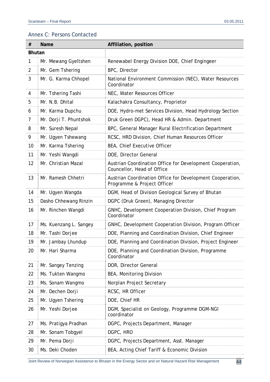# Annex C: Persons Contacted

| $^{\#}$        | <b>Name</b>                                                            | Affiliation, position                                                                    |  |
|----------------|------------------------------------------------------------------------|------------------------------------------------------------------------------------------|--|
| <b>Bhutan</b>  |                                                                        |                                                                                          |  |
| 1              | Renewabel Energy Division DOE, Chief Engingeer<br>Mr. Mewang Gyeltshen |                                                                                          |  |
| $\overline{2}$ | Mr. Gem Tshering                                                       | BPC, Director                                                                            |  |
| 3              | Mr. G. Karma Chhopel                                                   | National Environment Commission (NEC), Water Resources<br>Coordinator                    |  |
| 4              | Mr. Tshering Tashi                                                     | NEC, Water Resources Officer                                                             |  |
| 5              | Mr. N.B. Dhital                                                        | Kalachakra Consultancy, Proprietor                                                       |  |
| 6              | Mr. Karma Dupchu                                                       | DOE, Hydro-met Services Division, Head Hydrology Section                                 |  |
| 7              | Mr. Dorji T. Phuntshok                                                 | Druk Green DGPC), Head HR & Admin. Department                                            |  |
| 8              | Mr. Suresh Nepal                                                       | BPC, General Manager Rural Electrification Department                                    |  |
| 9              | Mr. Ugyen Tshewang                                                     | RCSC, HRD Division, Chief Human Resources Officer                                        |  |
| 10             | Mr. Karma Tshering                                                     | BEA, Chief Executive Officer                                                             |  |
| 11             | Mr. Yeshi Wangdi                                                       | DOE, Director General                                                                    |  |
| 12             | Mr. Christian Mazal                                                    | Austrian Coordination Office for Development Cooperation,<br>Councellor, Head of Office  |  |
| 13             | Mr. Ramesh Chhetri                                                     | Austrian Coordination Office for Development Cooperation,<br>Programme & Project Officer |  |
| 14             | Mr. Ugyen Wangda                                                       | DGM, Head of Division Geological Survey of Bhutan                                        |  |
| 15             | Dasho Chhewang Rinzin                                                  | DGPC (Druk Green), Managing Director                                                     |  |
| 16             | Mr. Rinchen Wangdi                                                     | GNHC, Development Cooperation Division, Chief Program<br>Coordinator                     |  |
| 17             | Ms. Kuenzang L. Sangey                                                 | GNHC, Development Cooperation Division, Program Officer                                  |  |
| 18             | Mr. Tashi Dorjee                                                       | DOE, Planning and Coordination Division, Chief Engineer                                  |  |
| 19             | Mr. Jambay Lhundup                                                     | DOE, Planning and Coordination Division, Project Engineer                                |  |
| 20             | Mr. Hari Sharma                                                        | DOE, Planning and Coordination Division, Programme<br>Coordinator                        |  |
| 21             | Mr. Sangey Tenzing                                                     | DOR, Director General                                                                    |  |
| 22             | Ms. Tukten Wangmo                                                      | BEA, Monitoring Division                                                                 |  |
| 23             | Ms. Sonam Wangmo                                                       | Norplan Project Secretary                                                                |  |
| 24             | Mr. Dechen Dorji                                                       | RCSC, HR Officer                                                                         |  |
| 25             | Mr. Ugyen Tshering                                                     | DOE, Chief HR                                                                            |  |
| 26             | Mr. Yeshi Dorjee                                                       | DGM, Specialist on Geology, Programme DGM-NGI<br>coordinator                             |  |
| 27             | Ms. Pratigya Pradhan                                                   | DGPC, Projects Department, Manager                                                       |  |
| 28             | Mr. Sonam Tobgyel                                                      | DGPC, HRO                                                                                |  |
| 29             | Mr. Pema Dorji                                                         | DGPC, Projects Department, Asst. Manager                                                 |  |
| 30             | Ms. Deki Choden                                                        | BEA, Acting Chief Tariff & Economic Division                                             |  |

Joint Review of Norwegian Assistance to Bhutan in the Energy Sector and on Natural Hazard Risk Management 44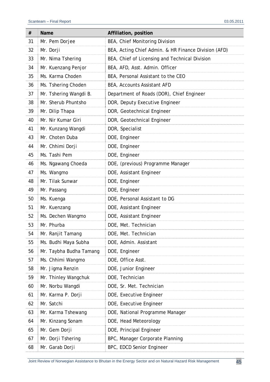| #  | Name                    | Affiliation, position                                |
|----|-------------------------|------------------------------------------------------|
| 31 | Mr. Pem Dorjee          | BEA, Chief Monitoring Division                       |
| 32 | Mr. Dorji               | BEA, Acting Chief Admin. & HR Finance Division (AFD) |
| 33 | Mr. Nima Tshering       | BEA, Chief of Licensing and Technical Division       |
| 34 | Mr. Kuenzang Penjor     | BEA, AFD, Asst. Admin. Officer                       |
| 35 | Ms. Karma Choden        | BEA, Personal Assistant to the CEO                   |
| 36 | Ms. Tshering Choden     | BEA, Accounts Assistant AFD                          |
| 37 | Mr. Tshering Wangdi B.  | Department of Roads (DOR), Chief Engineer            |
| 38 | Mr. Sherub Phuntsho     | DOR, Deputy Executive Engineer                       |
| 39 | Mr. Dilip Thapa         | DOR, Geotechnical Engineer                           |
| 40 | Mr. Nir Kumar Giri      | DOR, Geotechnical Engineer                           |
| 41 | Mr. Kunzang Wangdi      | DOR, Specialist                                      |
| 43 | Mr. Choten Duba         | DOE, Engineer                                        |
| 44 | Mr. Chhimi Dorji        | DOE, Engineer                                        |
| 45 | Ms. Tashi Pem           | DOE, Engineer                                        |
| 46 | Ms. Ngawang Choeda      | DOE, (previous) Programme Manager                    |
| 47 | Ms. Wangmo              | DOE, Assistant Engineer                              |
| 48 | Mr. Tilak Sunwar        | DOE, Engineer                                        |
| 49 | Mr. Passang             | DOE, Engineer                                        |
| 50 | Ms. Kuenga              | DOE, Personal Assistant to DG                        |
| 51 | Mr. Kuenzang            | DOE, Assistant Engineer                              |
| 52 | Ms. Dechen Wangmo       | DOE, Assistant Engineer                              |
| 53 | Mr. Phurba              | DOE, Met. Technician                                 |
| 54 | Mr. Ranjit Tamang       | DOE, Met. Technician                                 |
| 55 | Ms. Budhi Maya Subha    | DOE, Admin. Assistant                                |
| 56 | Mr. Taybha Budha Tamang | DOE, Engineer                                        |
| 57 | Ms. Chhimi Wangmo       | DOE, Office Asst.                                    |
| 58 | Mr. Jigma Renzin        | DOE, Junior Engineer                                 |
| 59 | Mr. Thinley Wangchuk    | DOE, Technician                                      |
| 60 | Mr. Norbu Wangdi        | DOE, Sr. Met. Technician                             |
| 61 | Mr. Karma P. Dorji      | DOE, Executive Engineer                              |
| 62 | Mr. Satchi              | DOE, Executive Engineer                              |
| 63 | Mr. Karma Tshewang      | DOE, National Programme Manager                      |
| 64 | Mr. Kinzang Sonam       | DOE, Head Meteorology                                |
| 65 | Mr. Gem Dorji           | DOE, Principal Engineer                              |
| 67 | Mr. Dorji Tshering      | BPC, Manager Corporate Planning                      |
| 68 | Mr. Garab Dorji         | BPC, EDCD Senior Engineer                            |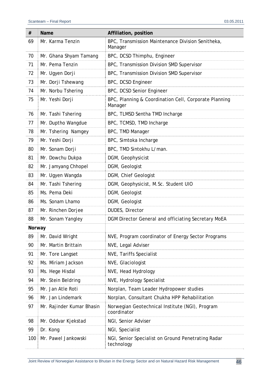| #      | <b>Name</b>               | Affiliation, position                                            |
|--------|---------------------------|------------------------------------------------------------------|
| 69     | Mr. Karma Tenzin          | BPC, Transmission Maintenance Division Senitheka,<br>Manager     |
| 70     | Mr. Ghana Shyam Tamang    | BPC, DCSD Thimphu, Engineer                                      |
| 71     | Mr. Pema Tenzin           | BPC, Transmission Division SMD Supervisor                        |
| 72     | Mr. Ugyen Dorji           | BPC, Transmission Division SMD Supervisor                        |
| 73     | Mr. Dorji Tshewang        | BPC, DCSD Engineer                                               |
| 74     | Mr. Norbu Tshering        | BPC, DCSD Senior Engineer                                        |
| 75     | Mr. Yeshi Dorji           | BPC, Planning & Coordination Cell, Corporate Planning<br>Manager |
| 76     | Mr. Tashi Tshering        | BPC, TLMSD Sentha TMD Incharge                                   |
| 77     | Mr. Duptho Wangdue        | BPC, TCMSD, TMD Incharge                                         |
| 78     | Mr. Tshering Namgey       | BPC, TMD Manager                                                 |
| 79     | Mr. Yeshi Dorji           | BPC, Simtoka Incharge                                            |
| 80     | Mr. Sonam Dorji           | BPC, TMD Sintokhu L/man.                                         |
| 81     | Mr. Dowchu Dukpa          | DGM, Geophysicist                                                |
| 82     | Mr. Jamyang Chhopel       | DGM, Geologist                                                   |
| 83     | Mr. Ugyen Wangda          | DGM, Chief Geologist                                             |
| 84     | Mr. Tashi Tshering        | DGM, Geophysicist, M.Sc. Student UIO                             |
| 85     | Ms. Pema Deki             | DGM, Geologist                                                   |
| 86     | Ms. Sonam Lhamo           | DGM, Geologist                                                   |
| 87     | Mr. Rinchen Dorjee        | DUDES, Director                                                  |
| 88     | Mr. Sonam Yangley         | DGM Director General and officiating Secretary MoEA              |
| Norway |                           |                                                                  |
| 89     | Mr. David Wright          | NVE, Program coordinator of Energy Sector Programs               |
| 90     | Mr. Martin Brittain       | NVE, Legal Adviser                                               |
| 91     | Mr. Tore Langset          | NVE, Tariffs Specialist                                          |
| 92     | Ms. Miriam Jackson        | NVE, Glaciologist                                                |
| 93     | Ms. Hege Hisdal           | NVE, Head Hydrology                                              |
| 94     | Mr. Stein Beldring        | NVE, Hydrology Specialist                                        |
| 95     | Mr. Jan Atle Roti         | Norplan, Team Leader Hydropower studies                          |
| 96     | Mr. Jan Lindemark         | Norplan, Consultant Chukha HPP Rehabilitation                    |
| 97     | Mr. Rajinder Kumar Bhasin | Norwegian Geotechnical Institute (NGI), Program<br>coordinator   |
| 98     | Mr. Oddvar Kjekstad       | NGI, Senior Adviser                                              |
| 99     | Dr. Kong                  | NGI, Specialist                                                  |
| 100    | Mr. Pawel Jankowski       | NGI, Senior Specialist on Ground Penetrating Radar<br>technology |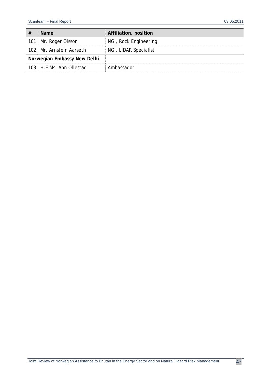| #                           | <b>Name</b>              | Affiliation, position |
|-----------------------------|--------------------------|-----------------------|
|                             | 101 Mr. Roger Olsson     | NGI, Rock Engineering |
|                             | 102 Mr. Arnstein Aarseth | NGI, LIDAR Specialist |
| Norwegian Embassy New Delhi |                          |                       |
|                             | 103 H.F.Ms. Ann Ollestad | Ambassador            |